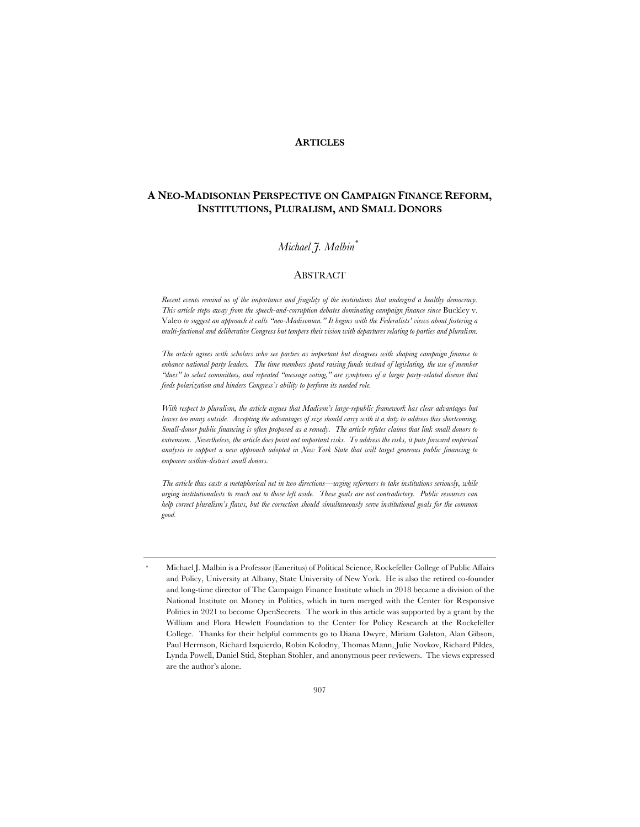## **ARTICLES**

# **A NEO-MADISONIAN PERSPECTIVE ON CAMPAIGN FINANCE REFORM, INSTITUTIONS, PLURALISM, AND SMALL DONORS**

# *Michael J. Malbin\*\**

## ABSTRACT

*Recent events remind us of the importance and fragility of the institutions that undergird a healthy democracy. This article steps away from the speech-and-corruption debates dominating campaign finance since* Buckley v. Valeo *to suggest an approach it calls "neo-Madisonian." It begins with the Federalists' views about fostering a multi-factional and deliberative Congress but tempers their vision with departures relating to parties and pluralism.*

*The article agrees with scholars who see parties as important but disagrees with shaping campaign finance to*  enhance national party leaders. The time members spend raising funds instead of legislating, the use of member *"dues" to select committees, and repeated "message voting," are symptoms of a larger party-related disease that feeds polarization and hinders Congress's ability to perform its needed role.*

*With respect to pluralism, the article argues that Madison's large-republic framework has clear advantages but leaves too many outside. Accepting the advantages of size should carry with it a duty to address this shortcoming. Small-donor public financing is often proposed as a remedy. The article refutes claims that link small donors to extremism. Nevertheless, the article does point out important risks. To address the risks, it puts forward empirical analysis to support a new approach adopted in New York State that will target generous public financing to empower within-district small donors.*

*The article thus casts a metaphorical net in two directions—urging reformers to take institutions seriously, while urging institutionalists to reach out to those left aside. These goals are not contradictory. Public resources can help correct pluralism's flaws, but the correction should simultaneously serve institutional goals for the common good.*

Michael J. Malbin is a Professor (Emeritus) of Political Science, Rockefeller College of Public Affairs and Policy, University at Albany, State University of New York. He is also the retired co-founder and long-time director of The Campaign Finance Institute which in 2018 became a division of the National Institute on Money in Politics, which in turn merged with the Center for Responsive Politics in 2021 to become OpenSecrets. The work in this article was supported by a grant by the William and Flora Hewlett Foundation to the Center for Policy Research at the Rockefeller College. Thanks for their helpful comments go to Diana Dwyre, Miriam Galston, Alan Gibson, Paul Herrnson, Richard Izquierdo, Robin Kolodny, Thomas Mann, Julie Novkov, Richard Pildes, Lynda Powell, Daniel Stid, Stephan Stohler, and anonymous peer reviewers. The views expressed are the author's alone.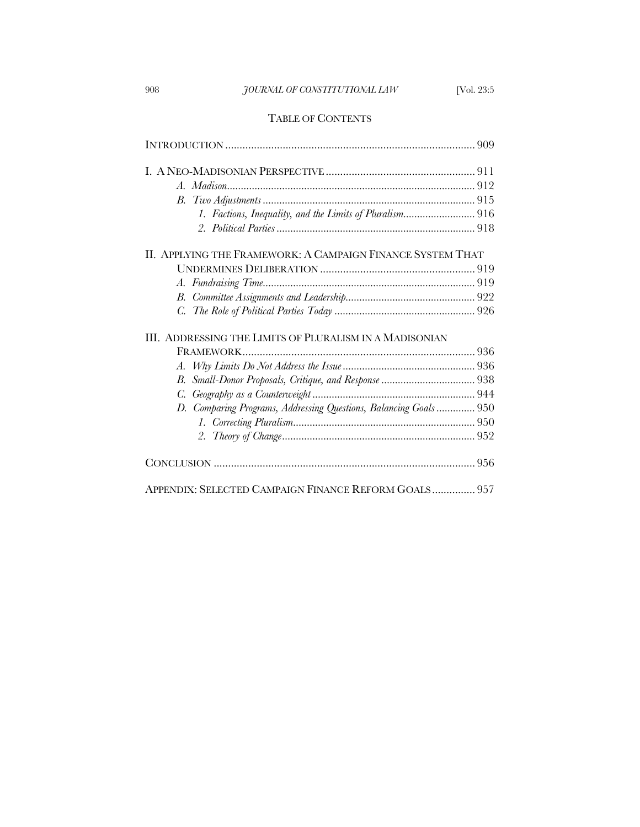# 908 *JOURNAL OF CONSTITUTIONAL LAW* [Vol. 23:5

# TABLE OF CONTENTS

| II. APPLYING THE FRAMEWORK: A CAMPAIGN FINANCE SYSTEM THAT        |  |
|-------------------------------------------------------------------|--|
|                                                                   |  |
|                                                                   |  |
|                                                                   |  |
|                                                                   |  |
| III. ADDRESSING THE LIMITS OF PLURALISM IN A MADISONIAN           |  |
|                                                                   |  |
|                                                                   |  |
| В.                                                                |  |
|                                                                   |  |
| D. Comparing Programs, Addressing Questions, Balancing Goals  950 |  |
|                                                                   |  |
|                                                                   |  |
|                                                                   |  |
|                                                                   |  |
| APPENDIX: SELECTED CAMPAIGN FINANCE REFORM GOALS 957              |  |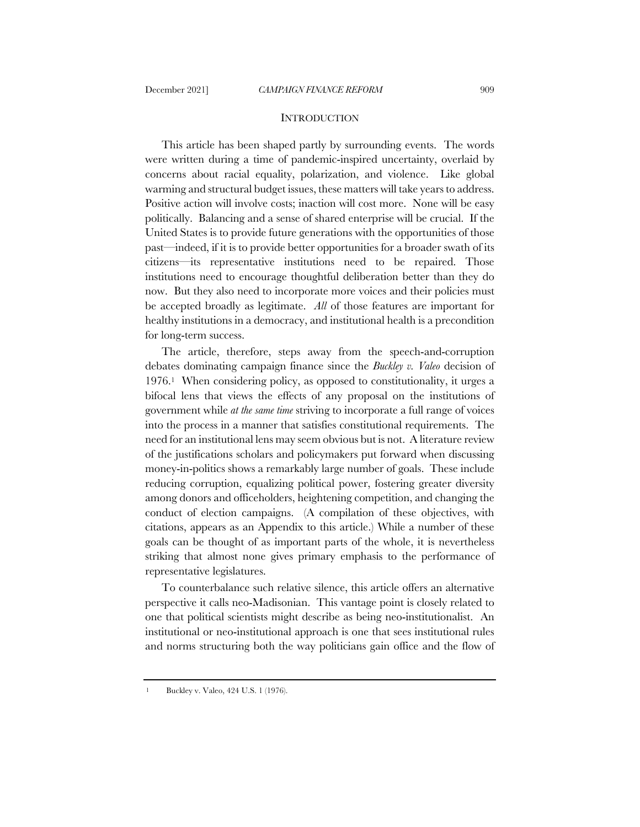#### **INTRODUCTION**

This article has been shaped partly by surrounding events. The words were written during a time of pandemic-inspired uncertainty, overlaid by concerns about racial equality, polarization, and violence. Like global warming and structural budget issues, these matters will take years to address. Positive action will involve costs; inaction will cost more. None will be easy politically. Balancing and a sense of shared enterprise will be crucial. If the United States is to provide future generations with the opportunities of those past—indeed, if it is to provide better opportunities for a broader swath of its citizens—its representative institutions need to be repaired. Those institutions need to encourage thoughtful deliberation better than they do now. But they also need to incorporate more voices and their policies must be accepted broadly as legitimate. *All* of those features are important for healthy institutions in a democracy, and institutional health is a precondition for long-term success.

The article, therefore, steps away from the speech-and-corruption debates dominating campaign finance since the *Buckley v. Valeo* decision of 1976.1 When considering policy, as opposed to constitutionality, it urges a bifocal lens that views the effects of any proposal on the institutions of government while *at the same time* striving to incorporate a full range of voices into the process in a manner that satisfies constitutional requirements. The need for an institutional lens may seem obvious but is not. A literature review of the justifications scholars and policymakers put forward when discussing money-in-politics shows a remarkably large number of goals. These include reducing corruption, equalizing political power, fostering greater diversity among donors and officeholders, heightening competition, and changing the conduct of election campaigns. (A compilation of these objectives, with citations, appears as an Appendix to this article.) While a number of these goals can be thought of as important parts of the whole, it is nevertheless striking that almost none gives primary emphasis to the performance of representative legislatures.

To counterbalance such relative silence, this article offers an alternative perspective it calls neo-Madisonian. This vantage point is closely related to one that political scientists might describe as being neo-institutionalist. An institutional or neo-institutional approach is one that sees institutional rules and norms structuring both the way politicians gain office and the flow of

<sup>1</sup> Buckley v. Valeo, 424 U.S. 1 (1976).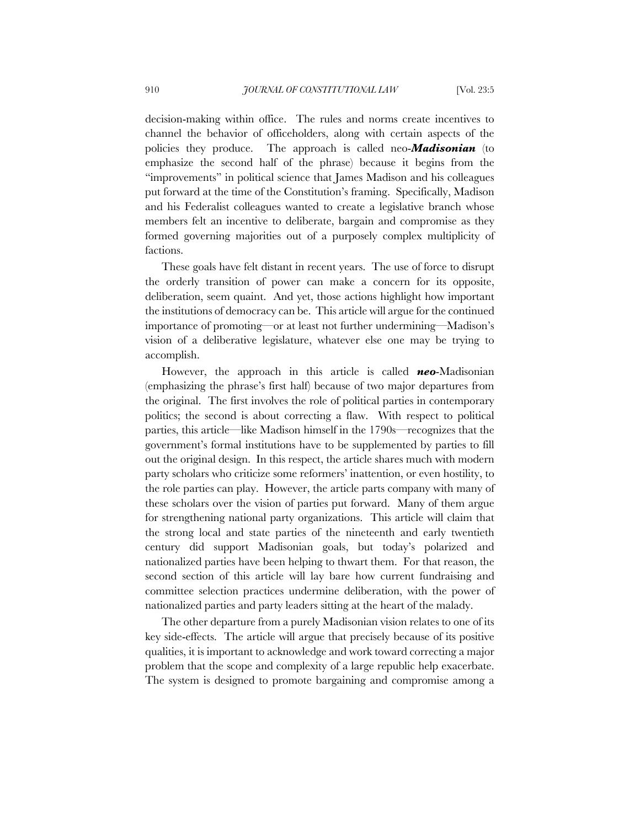decision-making within office. The rules and norms create incentives to channel the behavior of officeholders, along with certain aspects of the policies they produce. The approach is called neo-*Madisonian* (to emphasize the second half of the phrase) because it begins from the "improvements" in political science that James Madison and his colleagues put forward at the time of the Constitution's framing. Specifically, Madison and his Federalist colleagues wanted to create a legislative branch whose members felt an incentive to deliberate, bargain and compromise as they formed governing majorities out of a purposely complex multiplicity of factions.

These goals have felt distant in recent years. The use of force to disrupt the orderly transition of power can make a concern for its opposite, deliberation, seem quaint. And yet, those actions highlight how important the institutions of democracy can be. This article will argue for the continued importance of promoting—or at least not further undermining—Madison's vision of a deliberative legislature, whatever else one may be trying to accomplish.

However, the approach in this article is called *neo*-Madisonian (emphasizing the phrase's first half) because of two major departures from the original. The first involves the role of political parties in contemporary politics; the second is about correcting a flaw. With respect to political parties, this article—like Madison himself in the 1790s—recognizes that the government's formal institutions have to be supplemented by parties to fill out the original design. In this respect, the article shares much with modern party scholars who criticize some reformers' inattention, or even hostility, to the role parties can play. However, the article parts company with many of these scholars over the vision of parties put forward. Many of them argue for strengthening national party organizations. This article will claim that the strong local and state parties of the nineteenth and early twentieth century did support Madisonian goals, but today's polarized and nationalized parties have been helping to thwart them. For that reason, the second section of this article will lay bare how current fundraising and committee selection practices undermine deliberation, with the power of nationalized parties and party leaders sitting at the heart of the malady.

The other departure from a purely Madisonian vision relates to one of its key side-effects. The article will argue that precisely because of its positive qualities, it is important to acknowledge and work toward correcting a major problem that the scope and complexity of a large republic help exacerbate. The system is designed to promote bargaining and compromise among a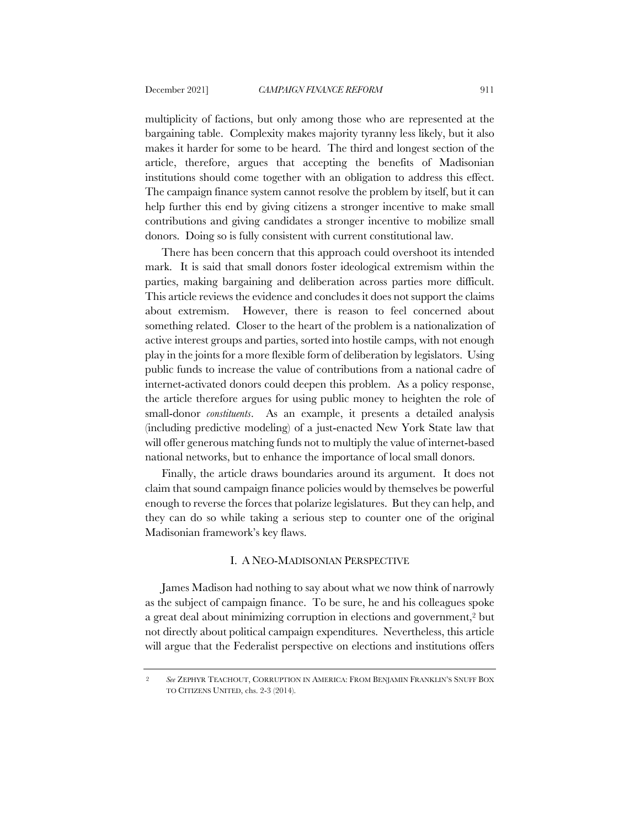multiplicity of factions, but only among those who are represented at the bargaining table. Complexity makes majority tyranny less likely, but it also makes it harder for some to be heard. The third and longest section of the article, therefore, argues that accepting the benefits of Madisonian institutions should come together with an obligation to address this effect. The campaign finance system cannot resolve the problem by itself, but it can help further this end by giving citizens a stronger incentive to make small contributions and giving candidates a stronger incentive to mobilize small donors. Doing so is fully consistent with current constitutional law.

There has been concern that this approach could overshoot its intended mark. It is said that small donors foster ideological extremism within the parties, making bargaining and deliberation across parties more difficult. This article reviews the evidence and concludes it does not support the claims about extremism. However, there is reason to feel concerned about something related. Closer to the heart of the problem is a nationalization of active interest groups and parties, sorted into hostile camps, with not enough play in the joints for a more flexible form of deliberation by legislators. Using public funds to increase the value of contributions from a national cadre of internet-activated donors could deepen this problem. As a policy response, the article therefore argues for using public money to heighten the role of small-donor *constituents*. As an example, it presents a detailed analysis (including predictive modeling) of a just-enacted New York State law that will offer generous matching funds not to multiply the value of internet-based national networks, but to enhance the importance of local small donors.

Finally, the article draws boundaries around its argument. It does not claim that sound campaign finance policies would by themselves be powerful enough to reverse the forces that polarize legislatures. But they can help, and they can do so while taking a serious step to counter one of the original Madisonian framework's key flaws.

## I. A NEO-MADISONIAN PERSPECTIVE

James Madison had nothing to say about what we now think of narrowly as the subject of campaign finance. To be sure, he and his colleagues spoke a great deal about minimizing corruption in elections and government,2 but not directly about political campaign expenditures. Nevertheless, this article will argue that the Federalist perspective on elections and institutions offers

<sup>2</sup> *See* ZEPHYR TEACHOUT, CORRUPTION IN AMERICA: FROM BENJAMIN FRANKLIN'S SNUFF BOX TO CITIZENS UNITED, chs. 2-3 (2014).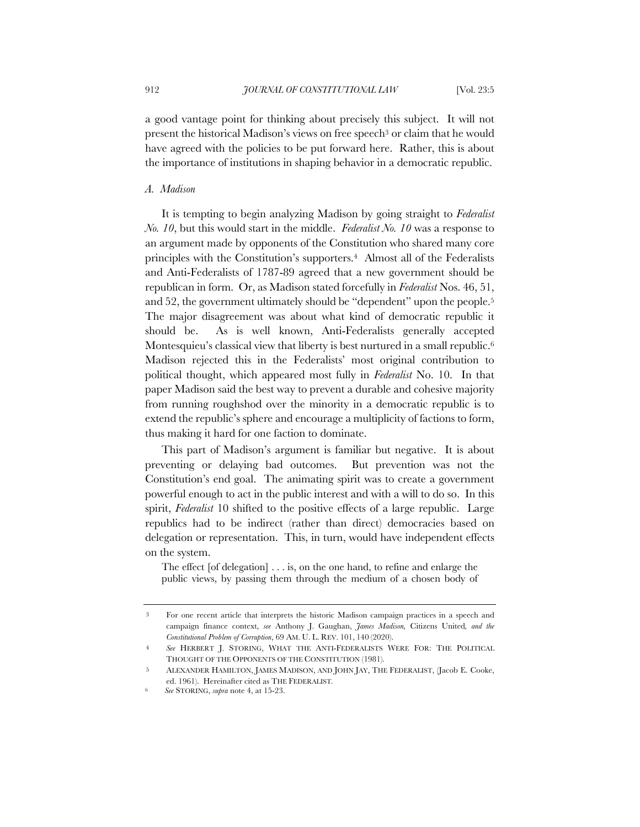a good vantage point for thinking about precisely this subject. It will not present the historical Madison's views on free speech3 or claim that he would have agreed with the policies to be put forward here. Rather, this is about the importance of institutions in shaping behavior in a democratic republic.

# *A. Madison*

It is tempting to begin analyzing Madison by going straight to *Federalist No. 10*, but this would start in the middle. *Federalist No. 10* was a response to an argument made by opponents of the Constitution who shared many core principles with the Constitution's supporters.4 Almost all of the Federalists and Anti-Federalists of 1787-89 agreed that a new government should be republican in form. Or, as Madison stated forcefully in *Federalist* Nos. 46, 51, and 52, the government ultimately should be "dependent" upon the people.<sup>5</sup> The major disagreement was about what kind of democratic republic it should be. As is well known, Anti-Federalists generally accepted Montesquieu's classical view that liberty is best nurtured in a small republic.<sup>6</sup> Madison rejected this in the Federalists' most original contribution to political thought, which appeared most fully in *Federalist* No. 10. In that paper Madison said the best way to prevent a durable and cohesive majority from running roughshod over the minority in a democratic republic is to extend the republic's sphere and encourage a multiplicity of factions to form, thus making it hard for one faction to dominate.

This part of Madison's argument is familiar but negative. It is about preventing or delaying bad outcomes. But prevention was not the Constitution's end goal. The animating spirit was to create a government powerful enough to act in the public interest and with a will to do so. In this spirit, *Federalist* 10 shifted to the positive effects of a large republic. Large republics had to be indirect (rather than direct) democracies based on delegation or representation. This, in turn, would have independent effects on the system.

The effect [of delegation] . . . is, on the one hand, to refine and enlarge the public views, by passing them through the medium of a chosen body of

<sup>3</sup> For one recent article that interprets the historic Madison campaign practices in a speech and campaign finance context, *see* Anthony J. Gaughan, *James Madison,* Citizens United*, and the Constitutional Problem of Corruption*, 69 AM. U. L. REV. 101, 140 (2020).

<sup>4</sup> *See* HERBERT J. STORING, WHAT THE ANTI-FEDERALISTS WERE FOR: THE POLITICAL THOUGHT OF THE OPPONENTS OF THE CONSTITUTION (1981).

<sup>5</sup> ALEXANDER HAMILTON, JAMES MADISON, AND JOHN JAY, THE FEDERALIST, (Jacob E. Cooke, ed. 1961). Hereinafter cited as THE FEDERALIST*.*

<sup>6</sup> *See* STORING, *supra* note 4, at 15-23.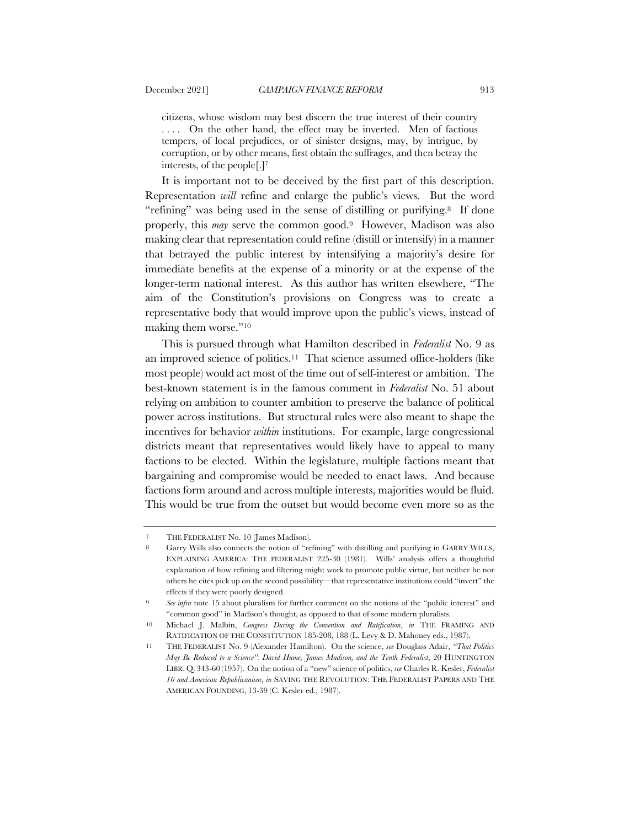citizens, whose wisdom may best discern the true interest of their country . . . . On the other hand, the effect may be inverted. Men of factious tempers, of local prejudices, or of sinister designs, may, by intrigue, by corruption, or by other means, first obtain the suffrages, and then betray the interests, of the people[.]7

It is important not to be deceived by the first part of this description. Representation *will* refine and enlarge the public's views. But the word "refining" was being used in the sense of distilling or purifying.<sup>8</sup> If done properly, this *may* serve the common good.9 However, Madison was also making clear that representation could refine (distill or intensify) in a manner that betrayed the public interest by intensifying a majority's desire for immediate benefits at the expense of a minority or at the expense of the longer-term national interest. As this author has written elsewhere, "The aim of the Constitution's provisions on Congress was to create a representative body that would improve upon the public's views, instead of making them worse."10

This is pursued through what Hamilton described in *Federalist* No. 9 as an improved science of politics.11 That science assumed office-holders (like most people) would act most of the time out of self-interest or ambition. The best-known statement is in the famous comment in *Federalist* No. 51 about relying on ambition to counter ambition to preserve the balance of political power across institutions. But structural rules were also meant to shape the incentives for behavior *within* institutions. For example, large congressional districts meant that representatives would likely have to appeal to many factions to be elected. Within the legislature, multiple factions meant that bargaining and compromise would be needed to enact laws. And because factions form around and across multiple interests, majorities would be fluid. This would be true from the outset but would become even more so as the

<sup>7</sup> THE FEDERALIST No. 10 (James Madison).

<sup>8</sup> Garry Wills also connects the notion of "refining" with distilling and purifying in GARRY WILLS, EXPLAINING AMERICA: THE FEDERALIST 225-30 (1981). Wills' analysis offers a thoughtful explanation of how refining and filtering might work to promote public virtue, but neither he nor others he cites pick up on the second possibility—that representative institutions could "invert" the effects if they were poorly designed.

<sup>9</sup> *See infra* note 15 about pluralism for further comment on the notions of the "public interest" and "common good" in Madison's thought, as opposed to that of some modern pluralists.

<sup>10</sup> Michael J. Malbin, *Congress During the Convention and Ratification*, *in* THE FRAMING AND RATIFICATION OF THE CONSTITUTION 185-208, 188 (L. Levy & D. Mahoney eds., 1987).

<sup>11</sup> THE FEDERALIST No. 9 (Alexander Hamilton). On the science, *see* Douglass Adair, *"That Politics May Be Reduced to a Science": David Hume, James Madison, and the Tenth Federalist*, 20 HUNTINGTON LIBR. Q. 343-60 (1957). On the notion of a "new" science of politics, *see* Charles R. Kesler, *Federalist 10 and American Republicanism*, *in* SAVING THE REVOLUTION: THE FEDERALIST PAPERS AND THE AMERICAN FOUNDING, 13-39 (C. Kesler ed., 1987).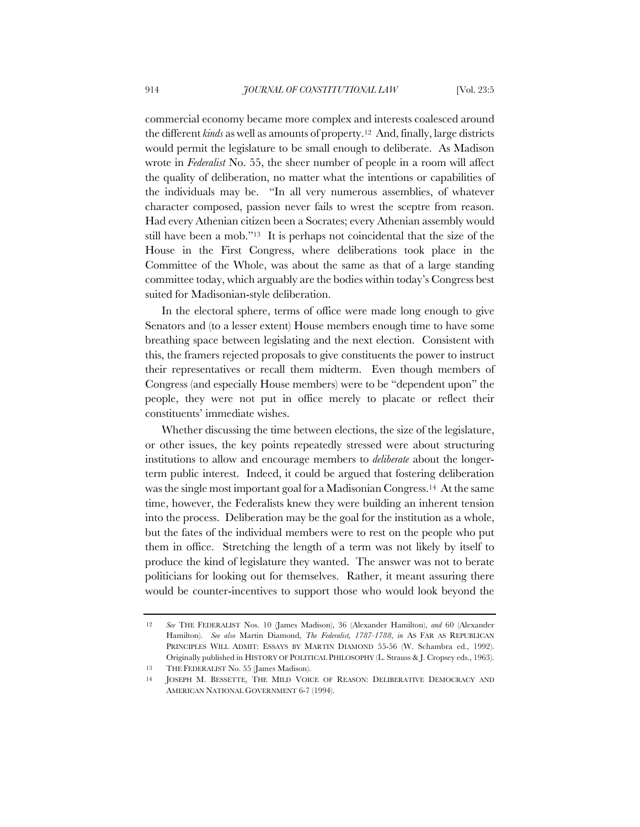commercial economy became more complex and interests coalesced around the different *kinds* as well as amounts of property.12 And, finally, large districts would permit the legislature to be small enough to deliberate. As Madison wrote in *Federalist* No. 55, the sheer number of people in a room will affect the quality of deliberation, no matter what the intentions or capabilities of the individuals may be. "In all very numerous assemblies, of whatever character composed, passion never fails to wrest the sceptre from reason. Had every Athenian citizen been a Socrates; every Athenian assembly would still have been a mob."13 It is perhaps not coincidental that the size of the House in the First Congress, where deliberations took place in the Committee of the Whole, was about the same as that of a large standing committee today, which arguably are the bodies within today's Congress best suited for Madisonian-style deliberation.

In the electoral sphere, terms of office were made long enough to give Senators and (to a lesser extent) House members enough time to have some breathing space between legislating and the next election. Consistent with this, the framers rejected proposals to give constituents the power to instruct their representatives or recall them midterm. Even though members of Congress (and especially House members) were to be "dependent upon" the people, they were not put in office merely to placate or reflect their constituents' immediate wishes.

Whether discussing the time between elections, the size of the legislature, or other issues, the key points repeatedly stressed were about structuring institutions to allow and encourage members to *deliberate* about the longerterm public interest. Indeed, it could be argued that fostering deliberation was the single most important goal for a Madisonian Congress.14 At the same time, however, the Federalists knew they were building an inherent tension into the process. Deliberation may be the goal for the institution as a whole, but the fates of the individual members were to rest on the people who put them in office. Stretching the length of a term was not likely by itself to produce the kind of legislature they wanted. The answer was not to berate politicians for looking out for themselves. Rather, it meant assuring there would be counter-incentives to support those who would look beyond the

<sup>12</sup> *See* THE FEDERALIST Nos. 10 (James Madison), 36 (Alexander Hamilton), *and* 60 (Alexander Hamilton). *See also* Martin Diamond, *The Federalist, 1787-1788*, *in* AS FAR AS REPUBLICAN PRINCIPLES WILL ADMIT: ESSAYS BY MARTIN DIAMOND 55-56 (W. Schambra ed., 1992). Originally published in HISTORY OF POLITICAL PHILOSOPHY (L. Strauss & J. Cropsey eds., 1963). 13 THE FEDERALIST No. 55 (James Madison).

<sup>14</sup> JOSEPH M. BESSETTE, THE MILD VOICE OF REASON: DELIBERATIVE DEMOCRACY AND AMERICAN NATIONAL GOVERNMENT 6-7 (1994).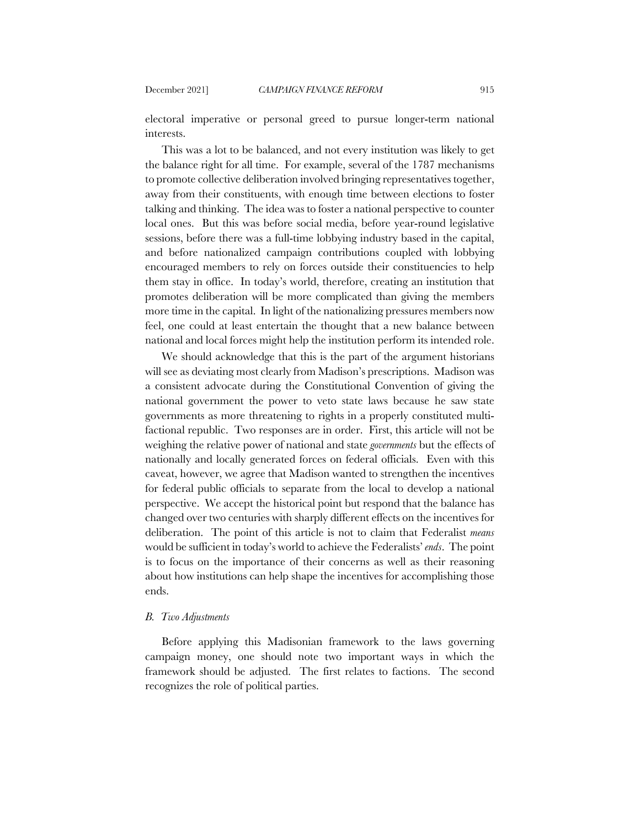electoral imperative or personal greed to pursue longer-term national interests.

This was a lot to be balanced, and not every institution was likely to get the balance right for all time. For example, several of the 1787 mechanisms to promote collective deliberation involved bringing representatives together, away from their constituents, with enough time between elections to foster talking and thinking. The idea was to foster a national perspective to counter local ones. But this was before social media, before year-round legislative sessions, before there was a full-time lobbying industry based in the capital, and before nationalized campaign contributions coupled with lobbying encouraged members to rely on forces outside their constituencies to help them stay in office. In today's world, therefore, creating an institution that promotes deliberation will be more complicated than giving the members more time in the capital. In light of the nationalizing pressures members now feel, one could at least entertain the thought that a new balance between national and local forces might help the institution perform its intended role.

We should acknowledge that this is the part of the argument historians will see as deviating most clearly from Madison's prescriptions. Madison was a consistent advocate during the Constitutional Convention of giving the national government the power to veto state laws because he saw state governments as more threatening to rights in a properly constituted multifactional republic. Two responses are in order. First, this article will not be weighing the relative power of national and state *governments* but the effects of nationally and locally generated forces on federal officials. Even with this caveat, however, we agree that Madison wanted to strengthen the incentives for federal public officials to separate from the local to develop a national perspective. We accept the historical point but respond that the balance has changed over two centuries with sharply different effects on the incentives for deliberation. The point of this article is not to claim that Federalist *means* would be sufficient in today's world to achieve the Federalists' *ends*. The point is to focus on the importance of their concerns as well as their reasoning about how institutions can help shape the incentives for accomplishing those ends.

#### *B. Two Adjustments*

Before applying this Madisonian framework to the laws governing campaign money, one should note two important ways in which the framework should be adjusted. The first relates to factions. The second recognizes the role of political parties.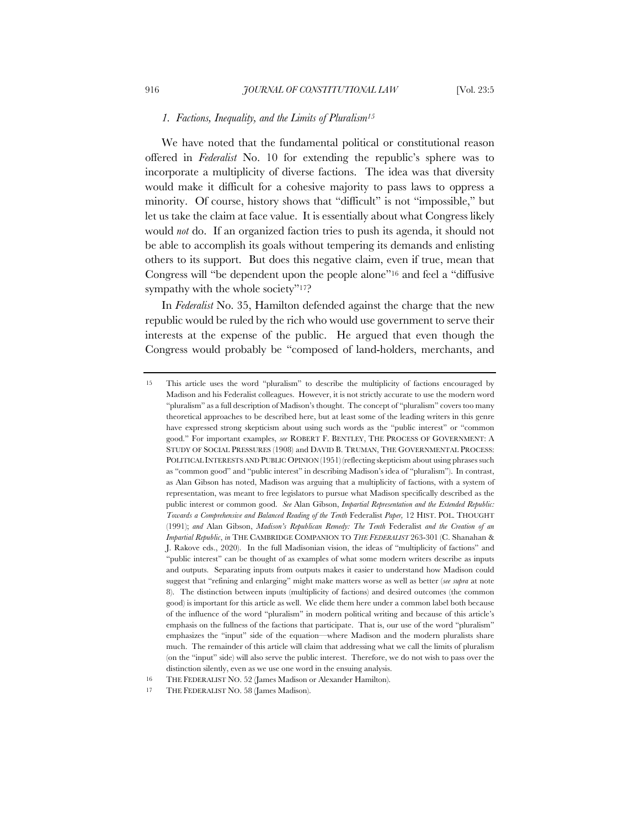## *1. Factions, Inequality, and the Limits of Pluralism15*

We have noted that the fundamental political or constitutional reason offered in *Federalist* No. 10 for extending the republic's sphere was to incorporate a multiplicity of diverse factions. The idea was that diversity would make it difficult for a cohesive majority to pass laws to oppress a minority. Of course, history shows that "difficult" is not "impossible," but let us take the claim at face value. It is essentially about what Congress likely would *not* do. If an organized faction tries to push its agenda, it should not be able to accomplish its goals without tempering its demands and enlisting others to its support. But does this negative claim, even if true, mean that Congress will "be dependent upon the people alone"16 and feel a "diffusive sympathy with the whole society"<sup>17</sup>?

In *Federalist* No. 35, Hamilton defended against the charge that the new republic would be ruled by the rich who would use government to serve their interests at the expense of the public. He argued that even though the Congress would probably be "composed of land-holders, merchants, and

<sup>15</sup> This article uses the word "pluralism" to describe the multiplicity of factions encouraged by Madison and his Federalist colleagues. However, it is not strictly accurate to use the modern word "pluralism" as a full description of Madison's thought. The concept of "pluralism" covers too many theoretical approaches to be described here, but at least some of the leading writers in this genre have expressed strong skepticism about using such words as the "public interest" or "common good." For important examples, *see* ROBERT F. BENTLEY, THE PROCESS OF GOVERNMENT: A STUDY OF SOCIAL PRESSURES (1908) and DAVID B. TRUMAN, THE GOVERNMENTAL PROCESS: POLITICAL INTERESTS AND PUBLIC OPINION (1951) (reflecting skepticism about using phrases such as "common good" and "public interest" in describing Madison's idea of "pluralism"). In contrast, as Alan Gibson has noted, Madison was arguing that a multiplicity of factions, with a system of representation, was meant to free legislators to pursue what Madison specifically described as the public interest or common good. *See* Alan Gibson, *Impartial Representation and the Extended Republic: Towards a Comprehensive and Balanced Reading of the Tenth* Federalist *Paper,* 12 HIST. POL. THOUGHT (1991); *and* Alan Gibson, *Madison's Republican Remedy: The Tenth* Federalist *and the Creation of an Impartial Republic*, *in* THE CAMBRIDGE COMPANION TO *THE FEDERALIST* 263-301 (C. Shanahan & J. Rakove eds., 2020). In the full Madisonian vision, the ideas of "multiplicity of factions" and "public interest" can be thought of as examples of what some modern writers describe as inputs and outputs. Separating inputs from outputs makes it easier to understand how Madison could suggest that "refining and enlarging" might make matters worse as well as better (*see supra* at note 8). The distinction between inputs (multiplicity of factions) and desired outcomes (the common good) is important for this article as well. We elide them here under a common label both because of the influence of the word "pluralism" in modern political writing and because of this article's emphasis on the fullness of the factions that participate. That is, our use of the word "pluralism" emphasizes the "input" side of the equation—where Madison and the modern pluralists share much. The remainder of this article will claim that addressing what we call the limits of pluralism (on the "input" side) will also serve the public interest. Therefore, we do not wish to pass over the distinction silently, even as we use one word in the ensuing analysis.

<sup>16</sup> THE FEDERALIST NO. 52 (James Madison or Alexander Hamilton).

<sup>17</sup> THE FEDERALIST NO. 58 (James Madison).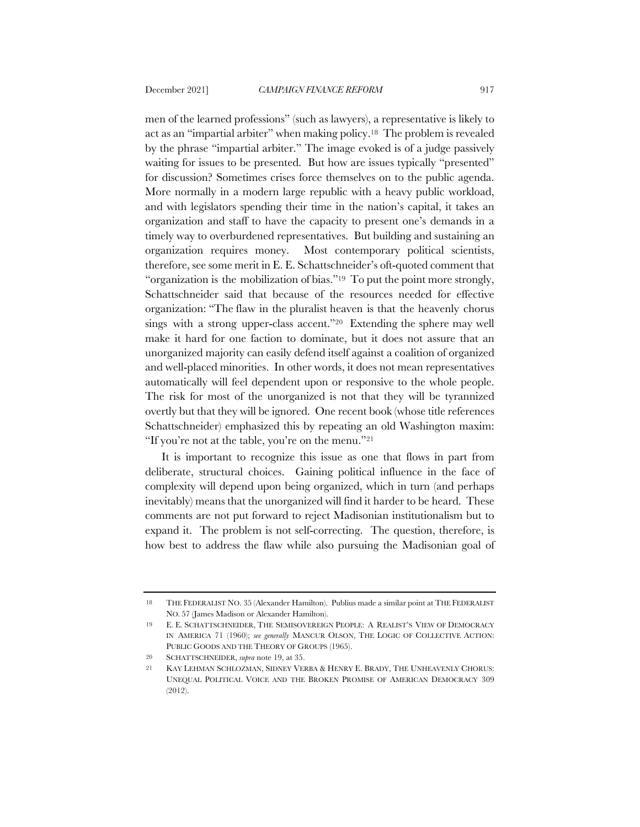men of the learned professions" (such as lawyers), a representative is likely to act as an "impartial arbiter" when making policy.18 The problem is revealed by the phrase "impartial arbiter." The image evoked is of a judge passively waiting for issues to be presented. But how are issues typically "presented" for discussion? Sometimes crises force themselves on to the public agenda. More normally in a modern large republic with a heavy public workload, and with legislators spending their time in the nation's capital, it takes an organization and staff to have the capacity to present one's demands in a timely way to overburdened representatives. But building and sustaining an organization requires money. Most contemporary political scientists, therefore, see some merit in E. E. Schattschneider's oft-quoted comment that "organization is the mobilization of bias."<sup>19</sup> To put the point more strongly, Schattschneider said that because of the resources needed for effective organization: "The flaw in the pluralist heaven is that the heavenly chorus sings with a strong upper-class accent."20 Extending the sphere may well make it hard for one faction to dominate, but it does not assure that an unorganized majority can easily defend itself against a coalition of organized and well-placed minorities. In other words, it does not mean representatives automatically will feel dependent upon or responsive to the whole people. The risk for most of the unorganized is not that they will be tyrannized overtly but that they will be ignored. One recent book (whose title references Schattschneider) emphasized this by repeating an old Washington maxim: "If you're not at the table, you're on the menu."21

It is important to recognize this issue as one that flows in part from deliberate, structural choices. Gaining political influence in the face of complexity will depend upon being organized, which in turn (and perhaps inevitably) means that the unorganized will find it harder to be heard. These comments are not put forward to reject Madisonian institutionalism but to expand it. The problem is not self-correcting. The question, therefore, is how best to address the flaw while also pursuing the Madisonian goal of

<sup>18</sup> THE FEDERALIST NO. 35 (Alexander Hamilton). Publius made a similar point at THE FEDERALIST NO. 57 (James Madison or Alexander Hamilton).

<sup>19</sup> E. E. SCHATTSCHNEIDER, THE SEMISOVEREIGN PEOPLE: A REALIST'S VIEW OF DEMOCRACY IN AMERICA 71 (1960); *see generally* MANCUR OLSON, THE LOGIC OF COLLECTIVE ACTION: PUBLIC GOODS AND THE THEORY OF GROUPS (1965).

<sup>20</sup> SCHATTSCHNEIDER, *supra* note 19, at 35.

<sup>21</sup> KAY LEHMAN SCHLOZMAN, SIDNEY VERBA & HENRY E. BRADY, THE UNHEAVENLY CHORUS: UNEQUAL POLITICAL VOICE AND THE BROKEN PROMISE OF AMERICAN DEMOCRACY 309 (2012).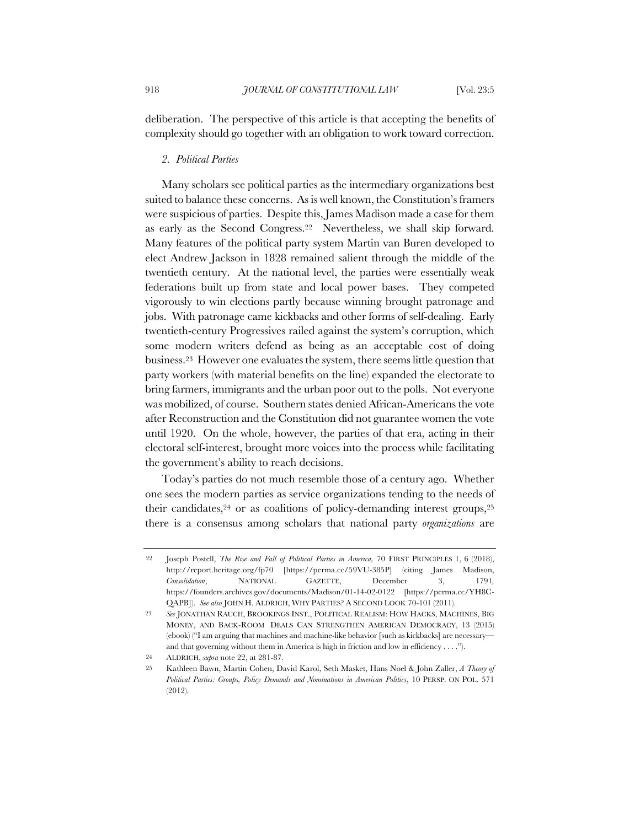deliberation. The perspective of this article is that accepting the benefits of complexity should go together with an obligation to work toward correction.

#### *2. Political Parties*

Many scholars see political parties as the intermediary organizations best suited to balance these concerns. As is well known, the Constitution's framers were suspicious of parties. Despite this, James Madison made a case for them as early as the Second Congress.22 Nevertheless, we shall skip forward. Many features of the political party system Martin van Buren developed to elect Andrew Jackson in 1828 remained salient through the middle of the twentieth century. At the national level, the parties were essentially weak federations built up from state and local power bases. They competed vigorously to win elections partly because winning brought patronage and jobs. With patronage came kickbacks and other forms of self-dealing. Early twentieth-century Progressives railed against the system's corruption, which some modern writers defend as being as an acceptable cost of doing business.23 However one evaluates the system, there seems little question that party workers (with material benefits on the line) expanded the electorate to bring farmers, immigrants and the urban poor out to the polls. Not everyone was mobilized, of course. Southern states denied African-Americans the vote after Reconstruction and the Constitution did not guarantee women the vote until 1920. On the whole, however, the parties of that era, acting in their electoral self-interest, brought more voices into the process while facilitating the government's ability to reach decisions.

Today's parties do not much resemble those of a century ago. Whether one sees the modern parties as service organizations tending to the needs of their candidates,  $24$  or as coalitions of policy-demanding interest groups,  $25$ there is a consensus among scholars that national party *organizations* are

24 ALDRICH, *supra* note 22, at 281-87.

<sup>22</sup> Joseph Postell, *The Rise and Fall of Political Parties in America,* 70 FIRST PRINCIPLES 1, 6 (2018), http://report.heritage.org/fp70 [https://perma.cc/59VU-385P] (citing James Madison, *Consolidation*, NATIONAL GAZETTE, December 3, 1791*,* https://founders.archives.gov/documents/Madison/01-14-02-0122 [https://perma.cc/YH8C-QAPB]). *See also* JOHN H. ALDRICH, WHY PARTIES? A SECOND LOOK 70-101 (2011).

<sup>23</sup> *See* JONATHAN RAUCH, BROOKINGS INST., POLITICAL REALISM: HOW HACKS, MACHINES, BIG MONEY, AND BACK‐ROOM DEALS CAN STRENGTHEN AMERICAN DEMOCRACY, 13 (2015) (ebook) ("I am arguing that machines and machine-like behavior [such as kickbacks] are necessary and that governing without them in America is high in friction and low in efficiency . . . .").

<sup>25</sup> Kathleen Bawn, Martin Cohen, David Karol, Seth Masket, Hans Noel & John Zaller, *A Theory of Political Parties: Groups, Policy Demands and Nominations in American Politics*, 10 PERSP. ON POL. 571 (2012).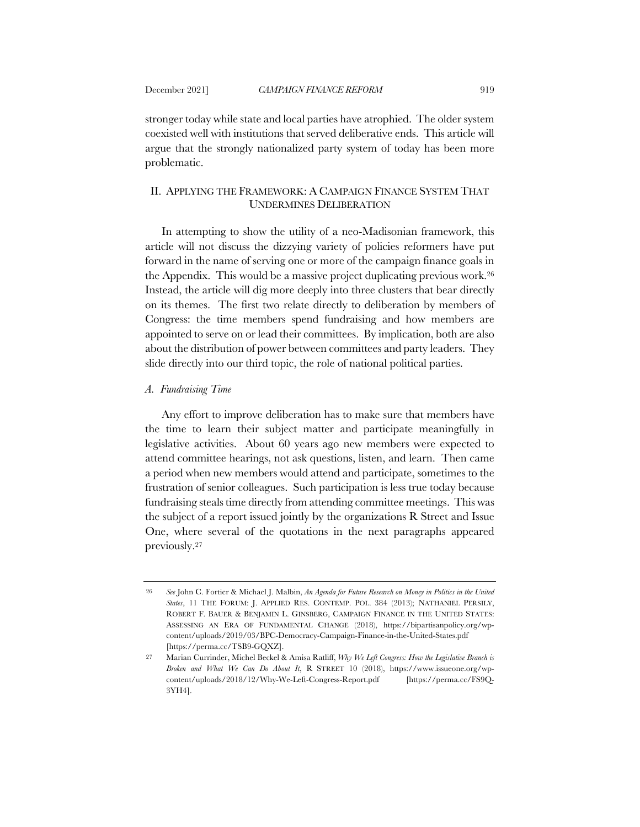stronger today while state and local parties have atrophied. The older system coexisted well with institutions that served deliberative ends. This article will argue that the strongly nationalized party system of today has been more problematic.

# II. APPLYING THE FRAMEWORK: A CAMPAIGN FINANCE SYSTEM THAT UNDERMINES DELIBERATION

In attempting to show the utility of a neo-Madisonian framework, this article will not discuss the dizzying variety of policies reformers have put forward in the name of serving one or more of the campaign finance goals in the Appendix. This would be a massive project duplicating previous work.26 Instead, the article will dig more deeply into three clusters that bear directly on its themes. The first two relate directly to deliberation by members of Congress: the time members spend fundraising and how members are appointed to serve on or lead their committees. By implication, both are also about the distribution of power between committees and party leaders. They slide directly into our third topic, the role of national political parties.

# *A. Fundraising Time*

Any effort to improve deliberation has to make sure that members have the time to learn their subject matter and participate meaningfully in legislative activities. About 60 years ago new members were expected to attend committee hearings, not ask questions, listen, and learn. Then came a period when new members would attend and participate, sometimes to the frustration of senior colleagues. Such participation is less true today because fundraising steals time directly from attending committee meetings. This was the subject of a report issued jointly by the organizations R Street and Issue One, where several of the quotations in the next paragraphs appeared previously.27

<sup>26</sup> *See* John C. Fortier & Michael J. Malbin, *An Agenda for Future Research on Money in Politics in the United States*, 11 THE FORUM: J. APPLIED RES. CONTEMP. POL. 384 (2013); NATHANIEL PERSILY, ROBERT F. BAUER & BENJAMIN L. GINSBERG, CAMPAIGN FINANCE IN THE UNITED STATES: ASSESSING AN ERA OF FUNDAMENTAL CHANGE (2018), https://bipartisanpolicy.org/wpcontent/uploads/2019/03/BPC-Democracy-Campaign-Finance-in-the-United-States.pdf [https://perma.cc/TSB9-GQXZ].

<sup>27</sup> Marian Currinder, Michel Beckel & Amisa Ratliff, *Why We Left Congress: How the Legislative Branch is Broken and What We Can Do About It*, R STREET 10 (2018), https://www.issueone.org/wpcontent/uploads/2018/12/Why-We-Left-Congress-Report.pdf [https://perma.cc/FS9Q-3YH4].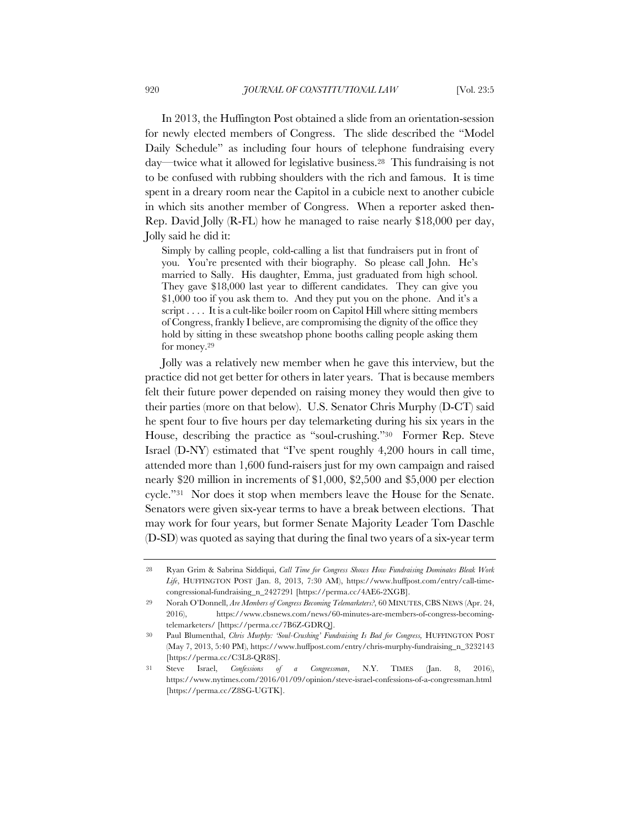In 2013, the Huffington Post obtained a slide from an orientation-session for newly elected members of Congress. The slide described the "Model Daily Schedule" as including four hours of telephone fundraising every day—twice what it allowed for legislative business.28 This fundraising is not to be confused with rubbing shoulders with the rich and famous. It is time spent in a dreary room near the Capitol in a cubicle next to another cubicle in which sits another member of Congress. When a reporter asked then-Rep. David Jolly (R-FL) how he managed to raise nearly \$18,000 per day, Jolly said he did it:

Simply by calling people, cold-calling a list that fundraisers put in front of you. You're presented with their biography. So please call John. He's married to Sally. His daughter, Emma, just graduated from high school. They gave \$18,000 last year to different candidates. They can give you \$1,000 too if you ask them to. And they put you on the phone. And it's a script . . . . It is a cult-like boiler room on Capitol Hill where sitting members of Congress, frankly I believe, are compromising the dignity of the office they hold by sitting in these sweatshop phone booths calling people asking them for money.29

Jolly was a relatively new member when he gave this interview, but the practice did not get better for others in later years. That is because members felt their future power depended on raising money they would then give to their parties (more on that below). U.S. Senator Chris Murphy (D-CT) said he spent four to five hours per day telemarketing during his six years in the House, describing the practice as "soul-crushing."30 Former Rep. Steve Israel (D-NY) estimated that "I've spent roughly 4,200 hours in call time, attended more than 1,600 fund-raisers just for my own campaign and raised nearly \$20 million in increments of \$1,000, \$2,500 and \$5,000 per election cycle."31 Nor does it stop when members leave the House for the Senate. Senators were given six-year terms to have a break between elections. That may work for four years, but former Senate Majority Leader Tom Daschle (D-SD) was quoted as saying that during the final two years of a six-year term

<sup>28</sup> Ryan Grim & Sabrina Siddiqui, *Call Time for Congress Shows How Fundraising Dominates Bleak Work Life*, HUFFINGTON POST (Jan. 8, 2013, 7:30 AM), https://www.huffpost.com/entry/call-timecongressional-fundraising\_n\_2427291 [https://perma.cc/4AE6-2XGB].

<sup>29</sup> Norah O'Donnell, *Are Members of Congress Becoming Telemarketers?*, 60 MINUTES, CBS NEWS (Apr. 24, 2016), https://www.cbsnews.com/news/60-minutes-are-members-of-congress-becomingtelemarketers/ [https://perma.cc/7B6Z-GDRQ].

<sup>30</sup> Paul Blumenthal, *Chris Murphy: 'Soul-Crushing' Fundraising Is Bad for Congress,* HUFFINGTON POST (May 7, 2013, 5:40 PM), https://www.huffpost.com/entry/chris-murphy-fundraising\_n\_3232143 [https://perma.cc/C3L8-QR8S].

<sup>31</sup> Steve Israel, *Confessions of a Congressman*, N.Y. TIMES (Jan. 8, 2016), https://www.nytimes.com/2016/01/09/opinion/steve-israel-confessions-of-a-congressman.html [https://perma.cc/Z8SG-UGTK].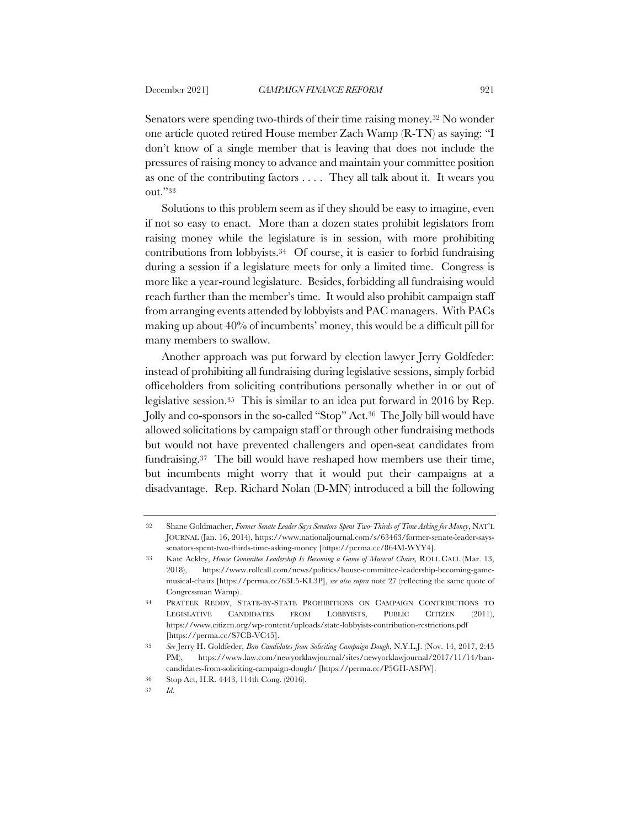Senators were spending two-thirds of their time raising money.32 No wonder one article quoted retired House member Zach Wamp (R-TN) as saying: "I don't know of a single member that is leaving that does not include the pressures of raising money to advance and maintain your committee position as one of the contributing factors . . . . They all talk about it. It wears you out."33

Solutions to this problem seem as if they should be easy to imagine, even if not so easy to enact. More than a dozen states prohibit legislators from raising money while the legislature is in session, with more prohibiting contributions from lobbyists.34 Of course, it is easier to forbid fundraising during a session if a legislature meets for only a limited time. Congress is more like a year-round legislature. Besides, forbidding all fundraising would reach further than the member's time. It would also prohibit campaign staff from arranging events attended by lobbyists and PAC managers. With PACs making up about 40% of incumbents' money, this would be a difficult pill for many members to swallow.

Another approach was put forward by election lawyer Jerry Goldfeder: instead of prohibiting all fundraising during legislative sessions, simply forbid officeholders from soliciting contributions personally whether in or out of legislative session.35 This is similar to an idea put forward in 2016 by Rep. Jolly and co-sponsors in the so-called "Stop" Act.36 The Jolly bill would have allowed solicitations by campaign staff or through other fundraising methods but would not have prevented challengers and open-seat candidates from fundraising.37 The bill would have reshaped how members use their time, but incumbents might worry that it would put their campaigns at a disadvantage. Rep. Richard Nolan (D-MN) introduced a bill the following

<sup>32</sup> Shane Goldmacher, *Former Senate Leader Says Senators Spent Two-Thirds of Time Asking for Money*, NAT'L JOURNAL (Jan. 16, 2014), https://www.nationaljournal.com/s/63463/former-senate-leader-sayssenators-spent-two-thirds-time-asking-money [https://perma.cc/864M-WYY4].

<sup>33</sup> Kate Ackley, *House Committee Leadership Is Becoming a Game of Musical Chairs,* ROLL CALL (Mar. 13, 2018), https://www.rollcall.com/news/politics/house-committee-leadership-becoming-gamemusical-chairs [https://perma.cc/63L5-KL3P], *see also supra* note 27 (reflecting the same quote of Congressman Wamp).

<sup>34</sup> PRATEEK REDDY, STATE-BY-STATE PROHIBITIONS ON CAMPAIGN CONTRIBUTIONS TO LEGISLATIVE CANDIDATES FROM LOBBYISTS, PUBLIC CITIZEN (2011), https://www.citizen.org/wp-content/uploads/state-lobbyists-contribution-restrictions.pdf [https://perma.cc/S7CB-VC45].

<sup>35</sup> *See* Jerry H. Goldfeder, *Ban Candidates from Soliciting Campaign Dough*, N.Y.L.J. (Nov. 14, 2017, 2:45 PM), https://www.law.com/newyorklawjournal/sites/newyorklawjournal/2017/11/14/bancandidates-from-soliciting-campaign-dough/ [https://perma.cc/P5GH-ASFW].

<sup>36</sup> Stop Act, H.R. 4443, 114th Cong. (2016).

<sup>37</sup> *Id*.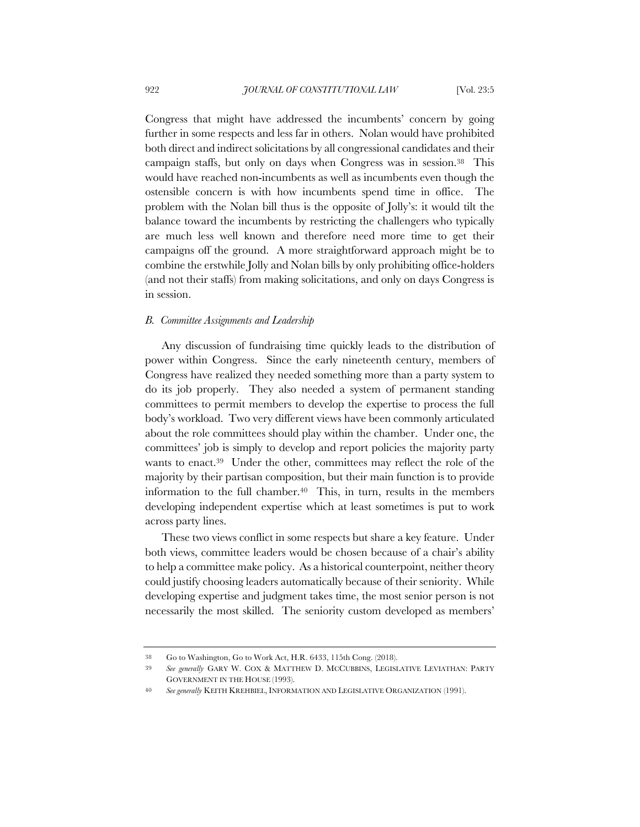Congress that might have addressed the incumbents' concern by going further in some respects and less far in others. Nolan would have prohibited both direct and indirect solicitations by all congressional candidates and their campaign staffs, but only on days when Congress was in session.38 This would have reached non-incumbents as well as incumbents even though the ostensible concern is with how incumbents spend time in office. The problem with the Nolan bill thus is the opposite of Jolly's: it would tilt the balance toward the incumbents by restricting the challengers who typically are much less well known and therefore need more time to get their campaigns off the ground. A more straightforward approach might be to combine the erstwhile Jolly and Nolan bills by only prohibiting office-holders (and not their staffs) from making solicitations, and only on days Congress is in session.

# *B. Committee Assignments and Leadership*

Any discussion of fundraising time quickly leads to the distribution of power within Congress. Since the early nineteenth century, members of Congress have realized they needed something more than a party system to do its job properly. They also needed a system of permanent standing committees to permit members to develop the expertise to process the full body's workload. Two very different views have been commonly articulated about the role committees should play within the chamber. Under one, the committees' job is simply to develop and report policies the majority party wants to enact.39 Under the other, committees may reflect the role of the majority by their partisan composition, but their main function is to provide information to the full chamber.<sup>40</sup> This, in turn, results in the members developing independent expertise which at least sometimes is put to work across party lines.

These two views conflict in some respects but share a key feature. Under both views, committee leaders would be chosen because of a chair's ability to help a committee make policy. As a historical counterpoint, neither theory could justify choosing leaders automatically because of their seniority. While developing expertise and judgment takes time, the most senior person is not necessarily the most skilled. The seniority custom developed as members'

<sup>38</sup> Go to Washington, Go to Work Act, H.R. 6433, 115th Cong. (2018).

<sup>39</sup> *See generally* GARY W. COX & MATTHEW D. MCCUBBINS, LEGISLATIVE LEVIATHAN: PARTY GOVERNMENT IN THE HOUSE (1993).

<sup>40</sup> *See generally* KEITH KREHBIEL, INFORMATION AND LEGISLATIVE ORGANIZATION (1991).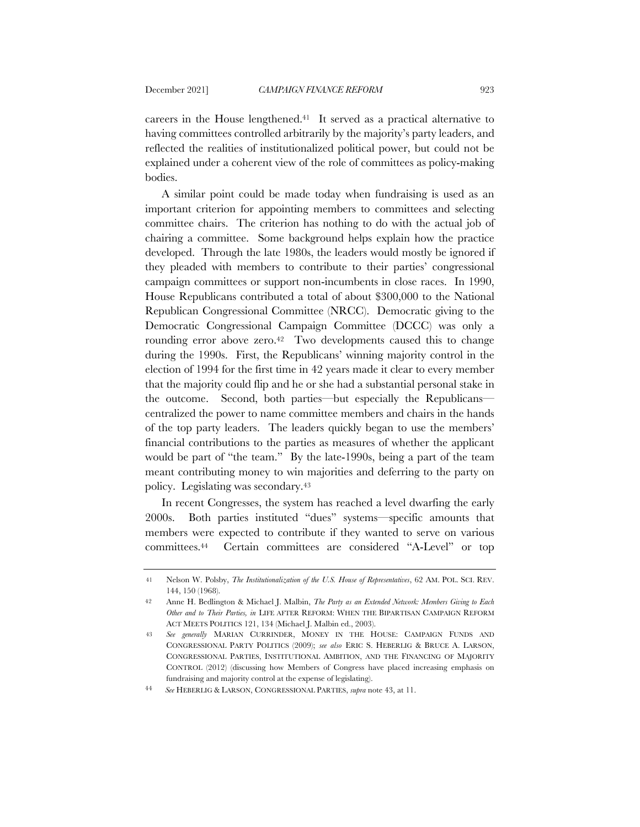careers in the House lengthened.41 It served as a practical alternative to having committees controlled arbitrarily by the majority's party leaders, and reflected the realities of institutionalized political power, but could not be explained under a coherent view of the role of committees as policy-making bodies.

A similar point could be made today when fundraising is used as an important criterion for appointing members to committees and selecting committee chairs. The criterion has nothing to do with the actual job of chairing a committee. Some background helps explain how the practice developed. Through the late 1980s, the leaders would mostly be ignored if they pleaded with members to contribute to their parties' congressional campaign committees or support non-incumbents in close races. In 1990, House Republicans contributed a total of about \$300,000 to the National Republican Congressional Committee (NRCC). Democratic giving to the Democratic Congressional Campaign Committee (DCCC) was only a rounding error above zero.<sup>42</sup> Two developments caused this to change during the 1990s. First, the Republicans' winning majority control in the election of 1994 for the first time in 42 years made it clear to every member that the majority could flip and he or she had a substantial personal stake in the outcome. Second, both parties—but especially the Republicans centralized the power to name committee members and chairs in the hands of the top party leaders. The leaders quickly began to use the members' financial contributions to the parties as measures of whether the applicant would be part of "the team." By the late-1990s, being a part of the team meant contributing money to win majorities and deferring to the party on policy. Legislating was secondary.43

In recent Congresses, the system has reached a level dwarfing the early 2000s. Both parties instituted "dues" systems—specific amounts that members were expected to contribute if they wanted to serve on various committees.44 Certain committees are considered "A-Level" or top

<sup>41</sup> Nelson W. Polsby, *The Institutionalization of the U.S. House of Representatives*, 62 AM. POL. SCI. REV. 144, 150 (1968).

<sup>42</sup> Anne H. Bedlington & Michael J. Malbin, *The Party as an Extended Network: Members Giving to Each Other and to Their Parties, in* LIFE AFTER REFORM: WHEN THE BIPARTISAN CAMPAIGN REFORM ACT MEETS POLITICS 121, 134 (Michael J. Malbin ed., 2003).

<sup>43</sup> *See generally* MARIAN CURRINDER, MONEY IN THE HOUSE: CAMPAIGN FUNDS AND CONGRESSIONAL PARTY POLITICS (2009); *see also* ERIC S. HEBERLIG & BRUCE A. LARSON, CONGRESSIONAL PARTIES, INSTITUTIONAL AMBITION, AND THE FINANCING OF MAJORITY CONTROL (2012) (discussing how Members of Congress have placed increasing emphasis on fundraising and majority control at the expense of legislating).

<sup>44</sup> *See* HEBERLIG & LARSON, CONGRESSIONAL PARTIES, *supra* note 43, at 11.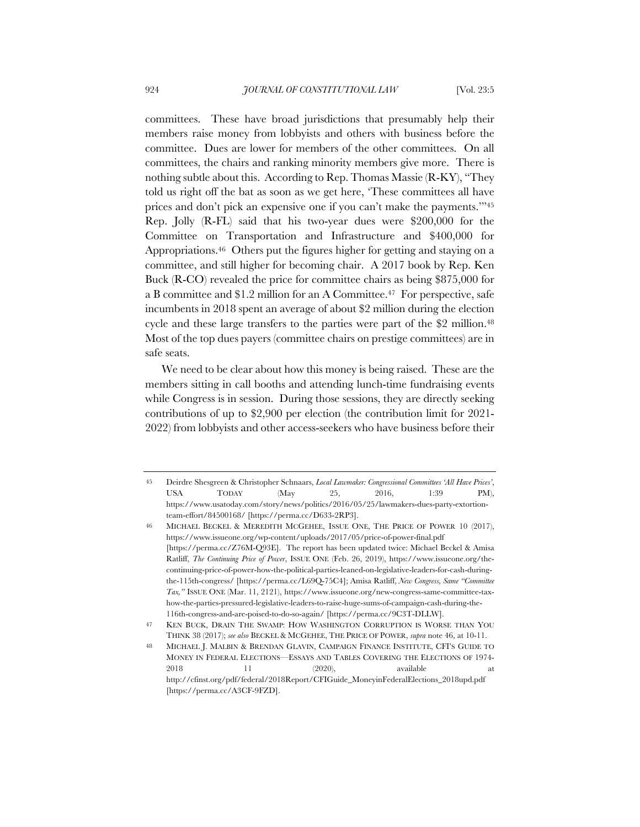committees. These have broad jurisdictions that presumably help their members raise money from lobbyists and others with business before the committee. Dues are lower for members of the other committees. On all committees, the chairs and ranking minority members give more. There is nothing subtle about this. According to Rep. Thomas Massie (R-KY), "They told us right off the bat as soon as we get here, 'These committees all have prices and don't pick an expensive one if you can't make the payments.'"45 Rep. Jolly (R-FL) said that his two-year dues were \$200,000 for the Committee on Transportation and Infrastructure and \$400,000 for Appropriations.46 Others put the figures higher for getting and staying on a committee, and still higher for becoming chair. A 2017 book by Rep. Ken Buck (R-CO) revealed the price for committee chairs as being \$875,000 for a B committee and \$1.2 million for an A Committee.47 For perspective, safe incumbents in 2018 spent an average of about \$2 million during the election cycle and these large transfers to the parties were part of the \$2 million.<sup>48</sup> Most of the top dues payers (committee chairs on prestige committees) are in safe seats.

We need to be clear about how this money is being raised. These are the members sitting in call booths and attending lunch-time fundraising events while Congress is in session. During those sessions, they are directly seeking contributions of up to \$2,900 per election (the contribution limit for 2021- 2022) from lobbyists and other access-seekers who have business before their

<sup>45</sup> Deirdre Shesgreen & Christopher Schnaars, *Local Lawmaker: Congressional Committees 'All Have Prices'*, USA TODAY (May 25, 2016, 1:39 PM), https://www.usatoday.com/story/news/politics/2016/05/25/lawmakers-dues-party-extortionteam-effort/84500168/ [https://perma.cc/D633-2RP3].

<sup>46</sup> MICHAEL BECKEL & MEREDITH MCGEHEE, ISSUE ONE, THE PRICE OF POWER 10 (2017), https://www.issueone.org/wp-content/uploads/2017/05/price-of-power-final.pdf [https://perma.cc/Z76M-Q93E]. The report has been updated twice: Michael Beckel & Amisa Ratliff, *The Continuing Price of Power*, ISSUE ONE (Feb. 26, 2019), https://www.issueone.org/thecontinuing-price-of-power-how-the-political-parties-leaned-on-legislative-leaders-for-cash-duringthe-115th-congress/ [https://perma.cc/L69Q-75C4]; Amisa Ratliff, *New Congress, Same "Committee Tax,"* ISSUE ONE (Mar. 11, 2121), https://www.issueone.org/new-congress-same-committee-taxhow-the-parties-pressured-legislative-leaders-to-raise-huge-sums-of-campaign-cash-during-the-116th-congress-and-are-poised-to-do-so-again/ [https://perma.cc/9C3T-DLLW].

<sup>47</sup> KEN BUCK, DRAIN THE SWAMP: HOW WASHINGTON CORRUPTION IS WORSE THAN YOU THINK 38 (2017); *see also* BECKEL & MCGEHEE, THE PRICE OF POWER, *supra* note 46, at 10-11.

<sup>48</sup> MICHAEL J. MALBIN & BRENDAN GLAVIN, CAMPAIGN FINANCE INSTITUTE, CFI'S GUIDE TO MONEY IN FEDERAL ELECTIONS—ESSAYS AND TABLES COVERING THE ELECTIONS OF 1974- 2018 11 (2020), available at http://cfinst.org/pdf/federal/2018Report/CFIGuide\_MoneyinFederalElections\_2018upd.pdf [https://perma.cc/A3CF-9FZD].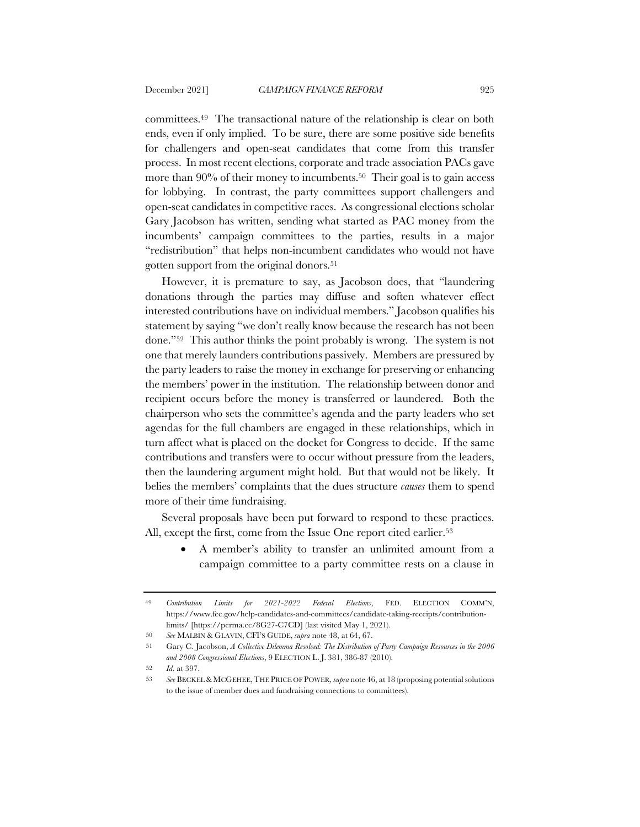committees.49 The transactional nature of the relationship is clear on both ends, even if only implied. To be sure, there are some positive side benefits for challengers and open-seat candidates that come from this transfer process. In most recent elections, corporate and trade association PACs gave more than 90% of their money to incumbents.<sup>50</sup> Their goal is to gain access for lobbying. In contrast, the party committees support challengers and open-seat candidates in competitive races. As congressional elections scholar Gary Jacobson has written, sending what started as PAC money from the incumbents' campaign committees to the parties, results in a major "redistribution" that helps non-incumbent candidates who would not have gotten support from the original donors.51

However, it is premature to say, as Jacobson does, that "laundering donations through the parties may diffuse and soften whatever effect interested contributions have on individual members." Jacobson qualifies his statement by saying "we don't really know because the research has not been done."52 This author thinks the point probably is wrong. The system is not one that merely launders contributions passively. Members are pressured by the party leaders to raise the money in exchange for preserving or enhancing the members' power in the institution. The relationship between donor and recipient occurs before the money is transferred or laundered. Both the chairperson who sets the committee's agenda and the party leaders who set agendas for the full chambers are engaged in these relationships, which in turn affect what is placed on the docket for Congress to decide. If the same contributions and transfers were to occur without pressure from the leaders, then the laundering argument might hold. But that would not be likely. It belies the members' complaints that the dues structure *causes* them to spend more of their time fundraising.

Several proposals have been put forward to respond to these practices. All, except the first, come from the Issue One report cited earlier.<sup>53</sup>

• A member's ability to transfer an unlimited amount from a campaign committee to a party committee rests on a clause in

<sup>49</sup> *Contribution Limits for 2021-2022 Federal Elections*, FED. ELECTION COMM'N, https://www.fec.gov/help-candidates-and-committees/candidate-taking-receipts/contributionlimits/ [https://perma.cc/8G27-C7CD] (last visited May 1, 2021).

<sup>50</sup> *See* MALBIN & GLAVIN, CFI'S GUIDE, *supra* note 48, at 64, 67.

<sup>51</sup> Gary C. Jacobson, *A Collective Dilemma Resolved: The Distribution of Party Campaign Resources in the 2006 and 2008 Congressional Elections*, 9 ELECTION L. J. 381, 386-87 (2010).

<sup>52</sup> *Id*. at 397.

<sup>53</sup> *See* BECKEL & MCGEHEE,THE PRICE OF POWER*, supra* note 46, at 18 (proposing potential solutions to the issue of member dues and fundraising connections to committees).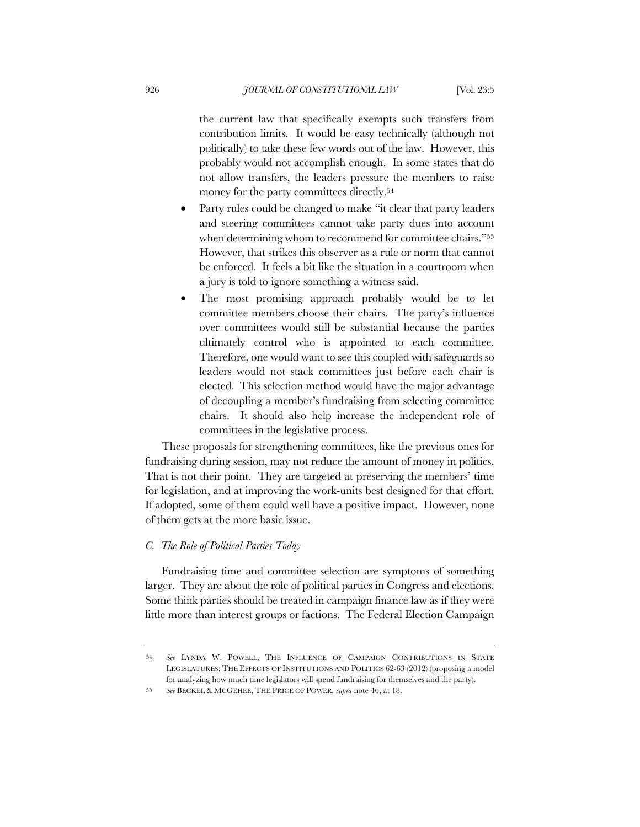the current law that specifically exempts such transfers from contribution limits. It would be easy technically (although not politically) to take these few words out of the law. However, this probably would not accomplish enough. In some states that do not allow transfers, the leaders pressure the members to raise money for the party committees directly.54

- Party rules could be changed to make "it clear that party leaders" and steering committees cannot take party dues into account when determining whom to recommend for committee chairs."55 However, that strikes this observer as a rule or norm that cannot be enforced. It feels a bit like the situation in a courtroom when a jury is told to ignore something a witness said.
- The most promising approach probably would be to let committee members choose their chairs. The party's influence over committees would still be substantial because the parties ultimately control who is appointed to each committee. Therefore, one would want to see this coupled with safeguards so leaders would not stack committees just before each chair is elected. This selection method would have the major advantage of decoupling a member's fundraising from selecting committee chairs. It should also help increase the independent role of committees in the legislative process.

These proposals for strengthening committees, like the previous ones for fundraising during session, may not reduce the amount of money in politics. That is not their point. They are targeted at preserving the members' time for legislation, and at improving the work-units best designed for that effort. If adopted, some of them could well have a positive impact. However, none of them gets at the more basic issue.

# *C. The Role of Political Parties Today*

Fundraising time and committee selection are symptoms of something larger. They are about the role of political parties in Congress and elections. Some think parties should be treated in campaign finance law as if they were little more than interest groups or factions. The Federal Election Campaign

<sup>54</sup> *See* LYNDA W. POWELL, THE INFLUENCE OF CAMPAIGN CONTRIBUTIONS IN STATE LEGISLATURES: THE EFFECTS OF INSTITUTIONS AND POLITICS 62-63 (2012) (proposing a model for analyzing how much time legislators will spend fundraising for themselves and the party).

<sup>55</sup> *See* BECKEL & MCGEHEE, THE PRICE OF POWER*, supra* note 46, at 18.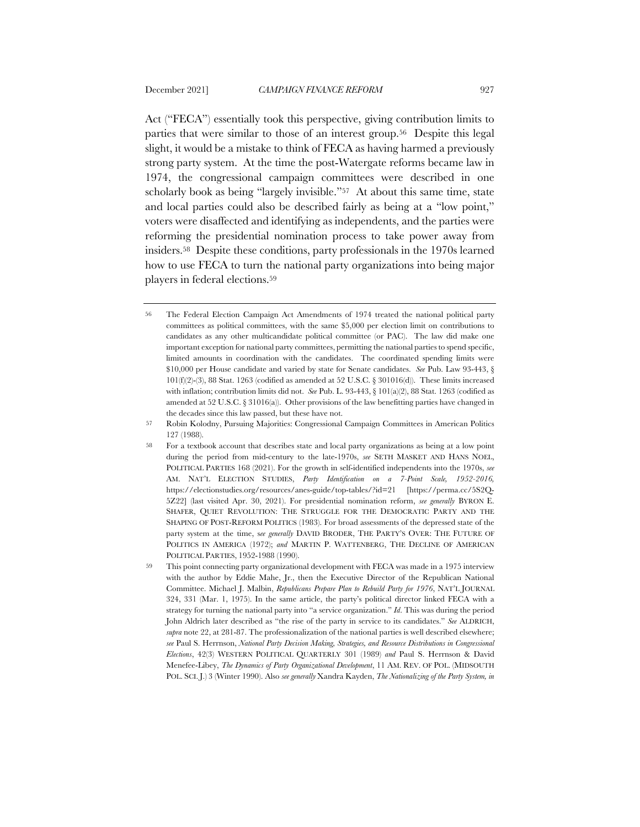Act ("FECA") essentially took this perspective, giving contribution limits to parties that were similar to those of an interest group.56 Despite this legal slight, it would be a mistake to think of FECA as having harmed a previously strong party system. At the time the post-Watergate reforms became law in 1974, the congressional campaign committees were described in one scholarly book as being "largely invisible."<sup>57</sup> At about this same time, state and local parties could also be described fairly as being at a "low point," voters were disaffected and identifying as independents, and the parties were reforming the presidential nomination process to take power away from insiders.58 Despite these conditions, party professionals in the 1970s learned how to use FECA to turn the national party organizations into being major players in federal elections.59

<sup>56</sup> The Federal Election Campaign Act Amendments of 1974 treated the national political party committees as political committees, with the same \$5,000 per election limit on contributions to candidates as any other multicandidate political committee (or PAC). The law did make one important exception for national party committees, permitting the national parties to spend specific, limited amounts in coordination with the candidates. The coordinated spending limits were \$10,000 per House candidate and varied by state for Senate candidates. *See* Pub. Law 93-443, §  $101(f)(2)-(3)$ , 88 Stat. 1263 (codified as amended at 52 U.S.C. § 301016(d)). These limits increased with inflation; contribution limits did not. *See* Pub. L. 93-443, § 101(a)(2), 88 Stat. 1263 (codified as amended at 52 U.S.C. § 31016(a)). Other provisions of the law benefitting parties have changed in the decades since this law passed, but these have not.

<sup>57</sup> Robin Kolodny, Pursuing Majorities: Congressional Campaign Committees in American Politics 127 (1988).

<sup>58</sup> For a textbook account that describes state and local party organizations as being at a low point during the period from mid-century to the late-1970s, *see* SETH MASKET AND HANS NOEL, POLITICAL PARTIES 168 (2021). For the growth in self-identified independents into the 1970s, *see* AM. NAT'L ELECTION STUDIES, *Party Identification on a 7-Point Scale, 1952-2016,* https://electionstudies.org/resources/anes-guide/top-tables/?id=21 [https://perma.cc/5S2Q-5Z22] (last visited Apr. 30, 2021). For presidential nomination reform, *see generally* BYRON E. SHAFER, QUIET REVOLUTION: THE STRUGGLE FOR THE DEMOCRATIC PARTY AND THE SHAPING OF POST-REFORM POLITICS (1983). For broad assessments of the depressed state of the party system at the time, s*ee generally* DAVID BRODER, THE PARTY'S OVER: THE FUTURE OF POLITICS IN AMERICA (1972); *and* MARTIN P. WATTENBERG, THE DECLINE OF AMERICAN POLITICAL PARTIES, 1952-1988 (1990).

<sup>59</sup> This point connecting party organizational development with FECA was made in a 1975 interview with the author by Eddie Mahe, Jr., then the Executive Director of the Republican National Committee. Michael J. Malbin, *Republicans Prepare Plan to Rebuild Party for 1976*, NAT'L JOURNAL 324, 331 (Mar. 1, 1975). In the same article, the party's political director linked FECA with a strategy for turning the national party into "a service organization." *Id*. This was during the period John Aldrich later described as "the rise of the party in service to its candidates." *See* ALDRICH, *supra* note 22, at 281-87. The professionalization of the national parties is well described elsewhere; *see* Paul S. Herrnson, *National Party Decision Making, Strategies, and Resource Distributions in Congressional Elections*, 42(3) WESTERN POLITICAL QUARTERLY 301 (1989) *and* Paul S. Herrnson & David Menefee-Libey, *The Dynamics of Party Organizational Development*, 11 AM. REV. OF POL. (MIDSOUTH POL. SCI. J.) 3 (Winter 1990). Also *see generally* Xandra Kayden, *The Nationalizing of the Party System, in*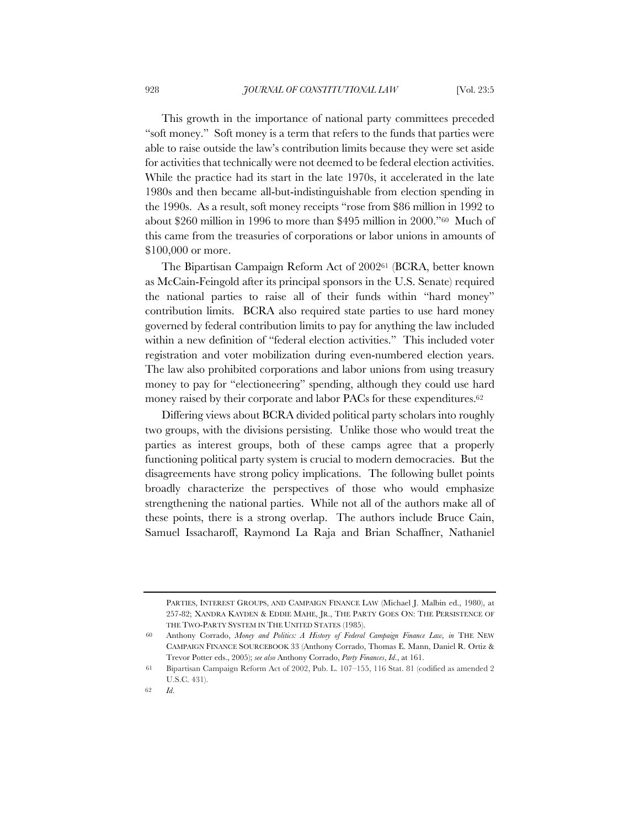This growth in the importance of national party committees preceded "soft money." Soft money is a term that refers to the funds that parties were able to raise outside the law's contribution limits because they were set aside for activities that technically were not deemed to be federal election activities. While the practice had its start in the late 1970s, it accelerated in the late 1980s and then became all-but-indistinguishable from election spending in the 1990s. As a result, soft money receipts "rose from \$86 million in 1992 to about \$260 million in 1996 to more than \$495 million in 2000."60 Much of this came from the treasuries of corporations or labor unions in amounts of \$100,000 or more.

The Bipartisan Campaign Reform Act of 200261 (BCRA, better known as McCain-Feingold after its principal sponsors in the U.S. Senate) required the national parties to raise all of their funds within "hard money" contribution limits. BCRA also required state parties to use hard money governed by federal contribution limits to pay for anything the law included within a new definition of "federal election activities." This included voter registration and voter mobilization during even-numbered election years. The law also prohibited corporations and labor unions from using treasury money to pay for "electioneering" spending, although they could use hard money raised by their corporate and labor PACs for these expenditures.<sup>62</sup>

Differing views about BCRA divided political party scholars into roughly two groups, with the divisions persisting. Unlike those who would treat the parties as interest groups, both of these camps agree that a properly functioning political party system is crucial to modern democracies. But the disagreements have strong policy implications. The following bullet points broadly characterize the perspectives of those who would emphasize strengthening the national parties. While not all of the authors make all of these points, there is a strong overlap. The authors include Bruce Cain, Samuel Issacharoff, Raymond La Raja and Brian Schaffner, Nathaniel

PARTIES, INTEREST GROUPS, AND CAMPAIGN FINANCE LAW (Michael J. Malbin ed., 1980), at 257-82; XANDRA KAYDEN & EDDIE MAHE, JR., THE PARTY GOES ON: THE PERSISTENCE OF THE TWO-PARTY SYSTEM IN THE UNITED STATES (1985).

<sup>60</sup> Anthony Corrado, *Money and Politics: A History of Federal Campaign Finance Law, in* THE NEW CAMPAIGN FINANCE SOURCEBOOK 33 (Anthony Corrado, Thomas E. Mann, Daniel R. Ortiz & Trevor Potter eds., 2005); *see also* Anthony Corrado, *Party Finances*, *Id*., at 161.

<sup>61</sup> Bipartisan Campaign Reform Act of 2002, Pub. L. 107–155, 116 Stat. 81 (codified as amended 2 U.S.C. 431).

<sup>62</sup> *Id*.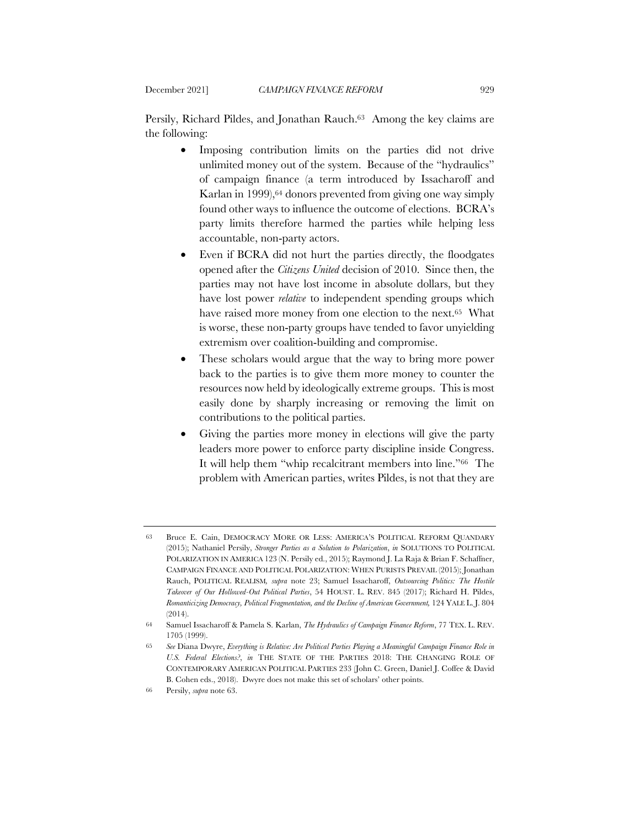Persily, Richard Pildes, and Jonathan Rauch.63 Among the key claims are the following:

- Imposing contribution limits on the parties did not drive unlimited money out of the system. Because of the "hydraulics" of campaign finance (a term introduced by Issacharoff and Karlan in 1999),64 donors prevented from giving one way simply found other ways to influence the outcome of elections. BCRA's party limits therefore harmed the parties while helping less accountable, non-party actors.
- Even if BCRA did not hurt the parties directly, the floodgates opened after the *Citizens United* decision of 2010. Since then, the parties may not have lost income in absolute dollars, but they have lost power *relative* to independent spending groups which have raised more money from one election to the next.65 What is worse, these non-party groups have tended to favor unyielding extremism over coalition-building and compromise.
- These scholars would argue that the way to bring more power back to the parties is to give them more money to counter the resources now held by ideologically extreme groups. This is most easily done by sharply increasing or removing the limit on contributions to the political parties.
- Giving the parties more money in elections will give the party leaders more power to enforce party discipline inside Congress. It will help them "whip recalcitrant members into line."66 The problem with American parties, writes Pildes, is not that they are

<sup>63</sup> Bruce E. Cain, DEMOCRACY MORE OR LESS: AMERICA'S POLITICAL REFORM QUANDARY (2015); Nathaniel Persily, *Stronger Parties as a Solution to Polarization*, *in* SOLUTIONS TO POLITICAL POLARIZATION IN AMERICA 123 (N. Persily ed., 2015); Raymond J. La Raja & Brian F. Schaffner, CAMPAIGN FINANCE AND POLITICAL POLARIZATION: WHEN PURISTS PREVAIL (2015); Jonathan Rauch, POLITICAL REALISM*, supra* note 23; Samuel Issacharoff, *Outsourcing Politics: The Hostile Takeover of Our Hollowed-Out Political Parties*, 54 HOUST. L. REV. 845 (2017); Richard H. Pildes, *Romanticizing Democracy, Political Fragmentation, and the Decline of American Government,* 124 YALE L. J. 804 (2014).

<sup>64</sup> Samuel Issacharoff & Pamela S. Karlan, *The Hydraulics of Campaign Finance Reform*, 77 TEX. L. REV. 1705 (1999).

<sup>65</sup> *See* Diana Dwyre, *Everything is Relative: Are Political Parties Playing a Meaningful Campaign Finance Role in U.S. Federal Elections?*, *in* THE STATE OF THE PARTIES 2018: THE CHANGING ROLE OF CONTEMPORARY AMERICAN POLITICAL PARTIES 233 (John C. Green, Daniel J. Coffee & David B. Cohen eds., 2018). Dwyre does not make this set of scholars' other points.

<sup>66</sup> Persily, *supra* note 63.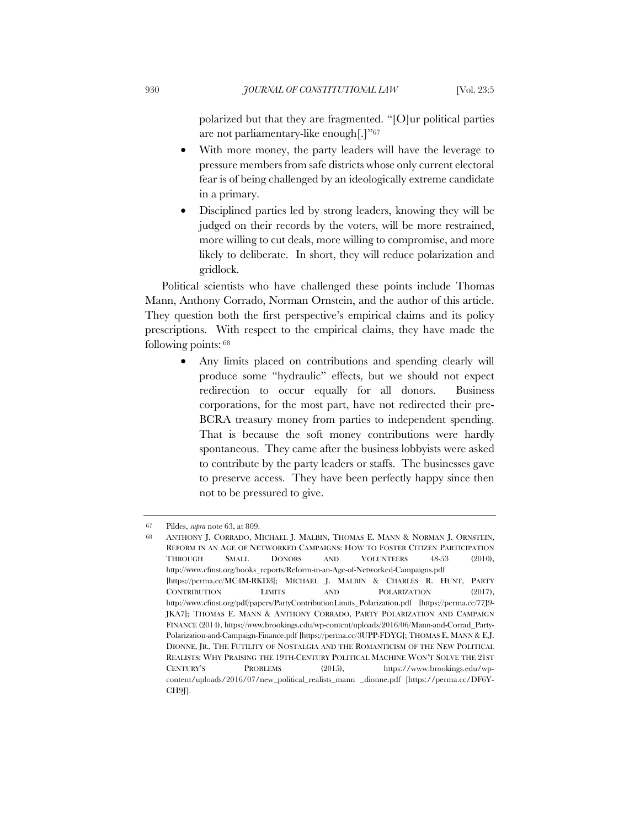polarized but that they are fragmented. "[O]ur political parties are not parliamentary-like enough[.]"67

- With more money, the party leaders will have the leverage to pressure members from safe districts whose only current electoral fear is of being challenged by an ideologically extreme candidate in a primary.
- Disciplined parties led by strong leaders, knowing they will be judged on their records by the voters, will be more restrained, more willing to cut deals, more willing to compromise, and more likely to deliberate. In short, they will reduce polarization and gridlock.

Political scientists who have challenged these points include Thomas Mann, Anthony Corrado, Norman Ornstein, and the author of this article. They question both the first perspective's empirical claims and its policy prescriptions. With respect to the empirical claims, they have made the following points: <sup>68</sup>

> • Any limits placed on contributions and spending clearly will produce some "hydraulic" effects, but we should not expect redirection to occur equally for all donors. Business corporations, for the most part, have not redirected their pre-BCRA treasury money from parties to independent spending. That is because the soft money contributions were hardly spontaneous. They came after the business lobbyists were asked to contribute by the party leaders or staffs. The businesses gave to preserve access. They have been perfectly happy since then not to be pressured to give.

<sup>67</sup> Pildes, *supra* note 63, at 809.

<sup>68</sup> ANTHONY J. CORRADO, MICHAEL J. MALBIN, THOMAS E. MANN & NORMAN J. ORNSTEIN, REFORM IN AN AGE OF NETWORKED CAMPAIGNS: HOW TO FOSTER CITIZEN PARTICIPATION THROUGH SMALL DONORS AND VOLUNTEERS 48-53 (2010), http://www.cfinst.org/books\_reports/Reform-in-an-Age-of-Networked-Campaigns.pdf [https://perma.cc/MC4M-RKD3]; MICHAEL J. MALBIN & CHARLES R. HUNT, PARTY CONTRIBUTION LIMITS AND POLARIZATION (2017), http://www.cfinst.org/pdf/papers/PartyContributionLimits\_Polarization.pdf [https://perma.cc/77J9- JKA7]; THOMAS E. MANN & ANTHONY CORRADO, PARTY POLARIZATION AND CAMPAIGN FINANCE (2014), https://www.brookings.edu/wp-content/uploads/2016/06/Mann-and-Corrad\_Party-Polarization-and-Campaign-Finance.pdf [https://perma.cc/3UPP-FDYG]; THOMAS E. MANN & E.J. DIONNE, JR., THE FUTILITY OF NOSTALGIA AND THE ROMANTICISM OF THE NEW POLITICAL REALISTS: WHY PRAISING THE 19TH-CENTURY POLITICAL MACHINE WON'T SOLVE THE 21ST CENTURY'S PROBLEMS (2015), https://www.brookings.edu/wpcontent/uploads/2016/07/new\_political\_realists\_mann \_dionne.pdf [https://perma.cc/DF6Y- $CH9$ .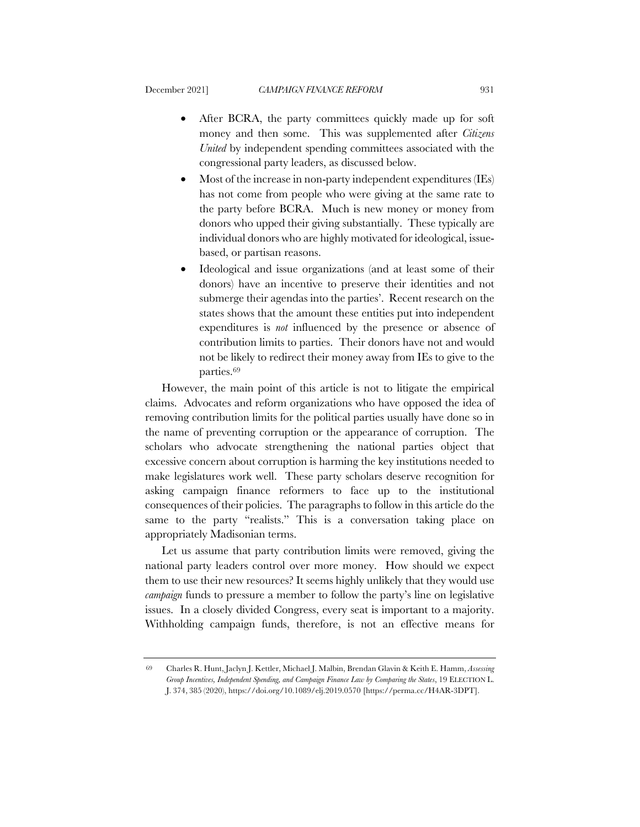- After BCRA, the party committees quickly made up for soft money and then some. This was supplemented after *Citizens United* by independent spending committees associated with the congressional party leaders, as discussed below.
- Most of the increase in non-party independent expenditures (IEs) has not come from people who were giving at the same rate to the party before BCRA. Much is new money or money from donors who upped their giving substantially. These typically are individual donors who are highly motivated for ideological, issuebased, or partisan reasons.
- Ideological and issue organizations (and at least some of their donors) have an incentive to preserve their identities and not submerge their agendas into the parties'. Recent research on the states shows that the amount these entities put into independent expenditures is *not* influenced by the presence or absence of contribution limits to parties. Their donors have not and would not be likely to redirect their money away from IEs to give to the parties.69

However, the main point of this article is not to litigate the empirical claims. Advocates and reform organizations who have opposed the idea of removing contribution limits for the political parties usually have done so in the name of preventing corruption or the appearance of corruption. The scholars who advocate strengthening the national parties object that excessive concern about corruption is harming the key institutions needed to make legislatures work well. These party scholars deserve recognition for asking campaign finance reformers to face up to the institutional consequences of their policies. The paragraphs to follow in this article do the same to the party "realists." This is a conversation taking place on appropriately Madisonian terms.

Let us assume that party contribution limits were removed, giving the national party leaders control over more money. How should we expect them to use their new resources? It seems highly unlikely that they would use *campaign* funds to pressure a member to follow the party's line on legislative issues. In a closely divided Congress, every seat is important to a majority. Withholding campaign funds, therefore, is not an effective means for

<sup>69</sup> Charles R. Hunt, Jaclyn J. Kettler, Michael J. Malbin, Brendan Glavin & Keith E. Hamm, *Assessing Group Incentives, Independent Spending, and Campaign Finance Law by Comparing the States*, 19 ELECTION L. J. 374, 385 (2020), https://doi.org/10.1089/elj.2019.0570 [https://perma.cc/H4AR-3DPT].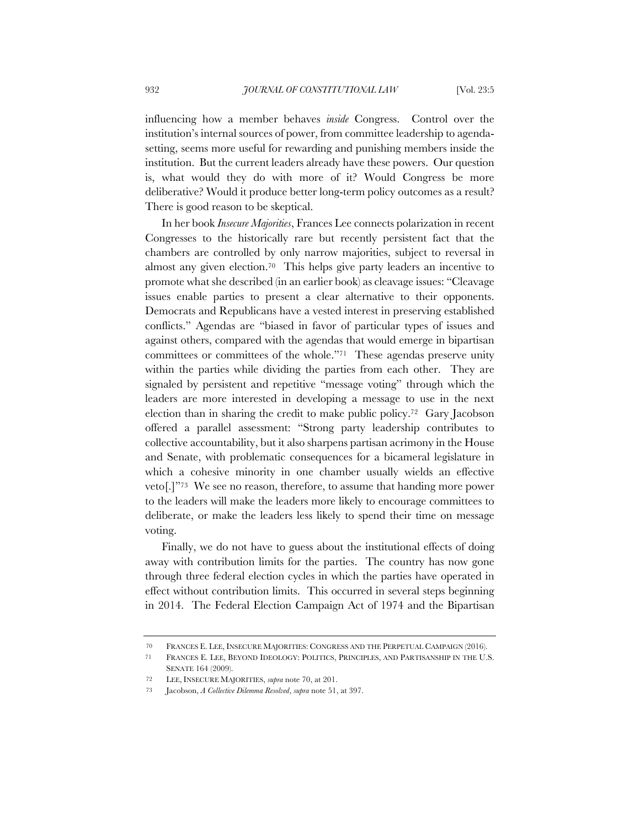influencing how a member behaves *inside* Congress. Control over the institution's internal sources of power, from committee leadership to agendasetting, seems more useful for rewarding and punishing members inside the institution. But the current leaders already have these powers. Our question is, what would they do with more of it? Would Congress be more deliberative? Would it produce better long-term policy outcomes as a result? There is good reason to be skeptical.

In her book *Insecure Majorities*, Frances Lee connects polarization in recent Congresses to the historically rare but recently persistent fact that the chambers are controlled by only narrow majorities, subject to reversal in almost any given election.70 This helps give party leaders an incentive to promote what she described (in an earlier book) as cleavage issues: "Cleavage issues enable parties to present a clear alternative to their opponents. Democrats and Republicans have a vested interest in preserving established conflicts." Agendas are "biased in favor of particular types of issues and against others, compared with the agendas that would emerge in bipartisan committees or committees of the whole."71 These agendas preserve unity within the parties while dividing the parties from each other. They are signaled by persistent and repetitive "message voting" through which the leaders are more interested in developing a message to use in the next election than in sharing the credit to make public policy.72 Gary Jacobson offered a parallel assessment: "Strong party leadership contributes to collective accountability, but it also sharpens partisan acrimony in the House and Senate, with problematic consequences for a bicameral legislature in which a cohesive minority in one chamber usually wields an effective veto[.]"73 We see no reason, therefore, to assume that handing more power to the leaders will make the leaders more likely to encourage committees to deliberate, or make the leaders less likely to spend their time on message voting.

Finally, we do not have to guess about the institutional effects of doing away with contribution limits for the parties. The country has now gone through three federal election cycles in which the parties have operated in effect without contribution limits. This occurred in several steps beginning in 2014. The Federal Election Campaign Act of 1974 and the Bipartisan

<sup>70</sup> FRANCES E. LEE, INSECURE MAJORITIES: CONGRESS AND THE PERPETUAL CAMPAIGN (2016).

<sup>71</sup> FRANCES E. LEE, BEYOND IDEOLOGY: POLITICS, PRINCIPLES, AND PARTISANSHIP IN THE U.S. SENATE 164 (2009).

<sup>72</sup> LEE, INSECURE MAJORITIES, *supra* note 70, at 201.

<sup>73</sup> Jacobson, *A Collective Dilemma Resolved*, *supra* note 51, at 397.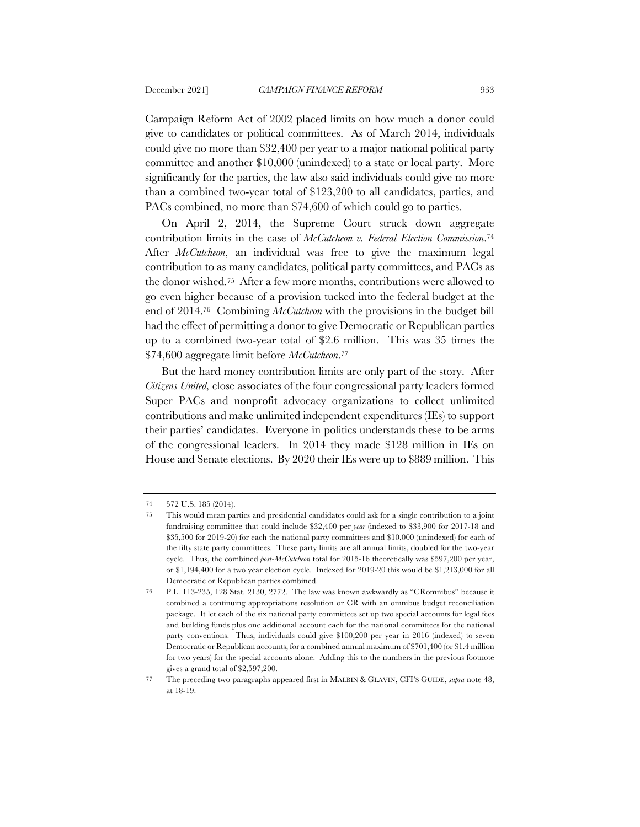Campaign Reform Act of 2002 placed limits on how much a donor could give to candidates or political committees. As of March 2014, individuals could give no more than \$32,400 per year to a major national political party committee and another \$10,000 (unindexed) to a state or local party. More significantly for the parties, the law also said individuals could give no more than a combined two-year total of \$123,200 to all candidates, parties, and PACs combined, no more than \$74,600 of which could go to parties.

On April 2, 2014, the Supreme Court struck down aggregate contribution limits in the case of *McCutcheon v. Federal Election Commission*.74 After *McCutcheon*, an individual was free to give the maximum legal contribution to as many candidates, political party committees, and PACs as the donor wished.75 After a few more months, contributions were allowed to go even higher because of a provision tucked into the federal budget at the end of 2014.76 Combining *McCutcheon* with the provisions in the budget bill had the effect of permitting a donor to give Democratic or Republican parties up to a combined two-year total of \$2.6 million. This was 35 times the \$74,600 aggregate limit before *McCutcheon*.77

But the hard money contribution limits are only part of the story. After *Citizens United,* close associates of the four congressional party leaders formed Super PACs and nonprofit advocacy organizations to collect unlimited contributions and make unlimited independent expenditures (IEs) to support their parties' candidates. Everyone in politics understands these to be arms of the congressional leaders. In 2014 they made \$128 million in IEs on House and Senate elections. By 2020 their IEs were up to \$889 million. This

<sup>74</sup> 572 U.S. 185 (2014).

<sup>75</sup> This would mean parties and presidential candidates could ask for a single contribution to a joint fundraising committee that could include \$32,400 per *year* (indexed to \$33,900 for 2017-18 and \$35,500 for 2019-20) for each the national party committees and \$10,000 (unindexed) for each of the fifty state party committees. These party limits are all annual limits, doubled for the two-year cycle. Thus, the combined *post-McCutcheon* total for 2015-16 theoretically was \$597,200 per year, or \$1,194,400 for a two year election cycle. Indexed for 2019-20 this would be \$1,213,000 for all Democratic or Republican parties combined.

<sup>76</sup> P.L. 113-235, 128 Stat. 2130, 2772. The law was known awkwardly as "CRomnibus" because it combined a continuing appropriations resolution or CR with an omnibus budget reconciliation package. It let each of the six national party committees set up two special accounts for legal fees and building funds plus one additional account each for the national committees for the national party conventions. Thus, individuals could give \$100,200 per year in 2016 (indexed) to seven Democratic or Republican accounts, for a combined annual maximum of \$701,400 (or \$1.4 million for two years) for the special accounts alone. Adding this to the numbers in the previous footnote gives a grand total of \$2,597,200.

<sup>77</sup> The preceding two paragraphs appeared first in MALBIN & GLAVIN, CFI'S GUIDE, *supra* note 48, at 18-19.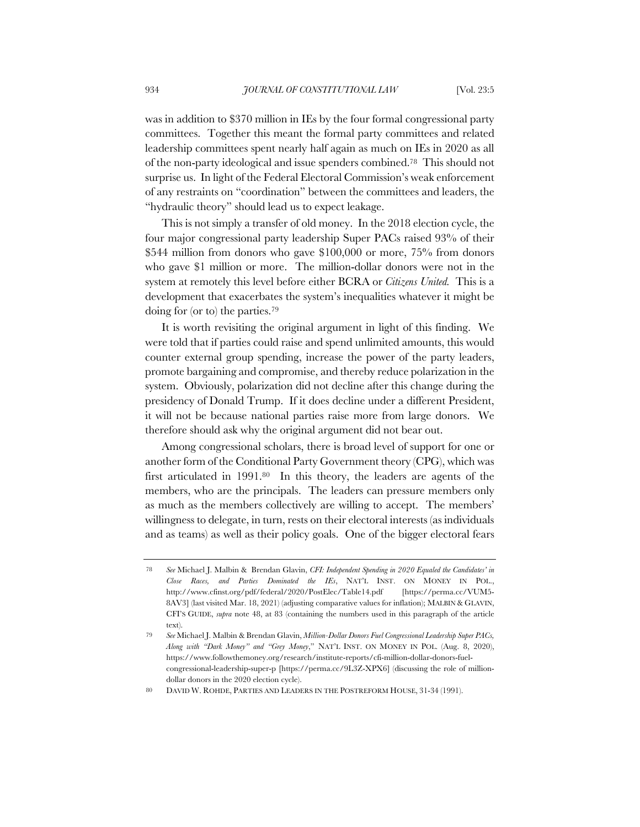was in addition to \$370 million in IEs by the four formal congressional party committees. Together this meant the formal party committees and related leadership committees spent nearly half again as much on IEs in 2020 as all of the non-party ideological and issue spenders combined.78 This should not surprise us. In light of the Federal Electoral Commission's weak enforcement of any restraints on "coordination" between the committees and leaders, the "hydraulic theory" should lead us to expect leakage.

This is not simply a transfer of old money. In the 2018 election cycle, the four major congressional party leadership Super PACs raised 93% of their \$544 million from donors who gave \$100,000 or more, 75% from donors who gave \$1 million or more. The million-dollar donors were not in the system at remotely this level before either BCRA or *Citizens United.* This is a development that exacerbates the system's inequalities whatever it might be doing for (or to) the parties.79

It is worth revisiting the original argument in light of this finding. We were told that if parties could raise and spend unlimited amounts, this would counter external group spending, increase the power of the party leaders, promote bargaining and compromise, and thereby reduce polarization in the system. Obviously, polarization did not decline after this change during the presidency of Donald Trump. If it does decline under a different President, it will not be because national parties raise more from large donors. We therefore should ask why the original argument did not bear out.

Among congressional scholars, there is broad level of support for one or another form of the Conditional Party Government theory (CPG), which was first articulated in 1991.80 In this theory, the leaders are agents of the members, who are the principals. The leaders can pressure members only as much as the members collectively are willing to accept. The members' willingness to delegate, in turn, rests on their electoral interests (as individuals and as teams) as well as their policy goals. One of the bigger electoral fears

<sup>78</sup> *See* Michael J. Malbin & Brendan Glavin, *CFI: Independent Spending in 2020 Equaled the Candidates' in Close Races, and Parties Dominated the IEs*, NAT'L INST. ON MONEY IN POL., http://www.cfinst.org/pdf/federal/2020/PostElec/Table14.pdf [https://perma.cc/VUM5- 8AV3] (last visited Mar. 18, 2021) (adjusting comparative values for inflation); MALBIN & GLAVIN, CFI'S GUIDE, *supra* note 48, at 83 (containing the numbers used in this paragraph of the article text).

<sup>79</sup> *See* Michael J. Malbin & Brendan Glavin, *Million-Dollar Donors Fuel Congressional Leadership Super PACs, Along with "Dark Money" and "Grey Money*," NAT'L INST. ON MONEY IN POL. (Aug. 8, 2020), https://www.followthemoney.org/research/institute-reports/cfi-million-dollar-donors-fuelcongressional-leadership-super-p [https://perma.cc/9L3Z-XPX6] (discussing the role of milliondollar donors in the 2020 election cycle).

<sup>80</sup> DAVID W. ROHDE, PARTIES AND LEADERS IN THE POSTREFORM HOUSE, 31-34 (1991).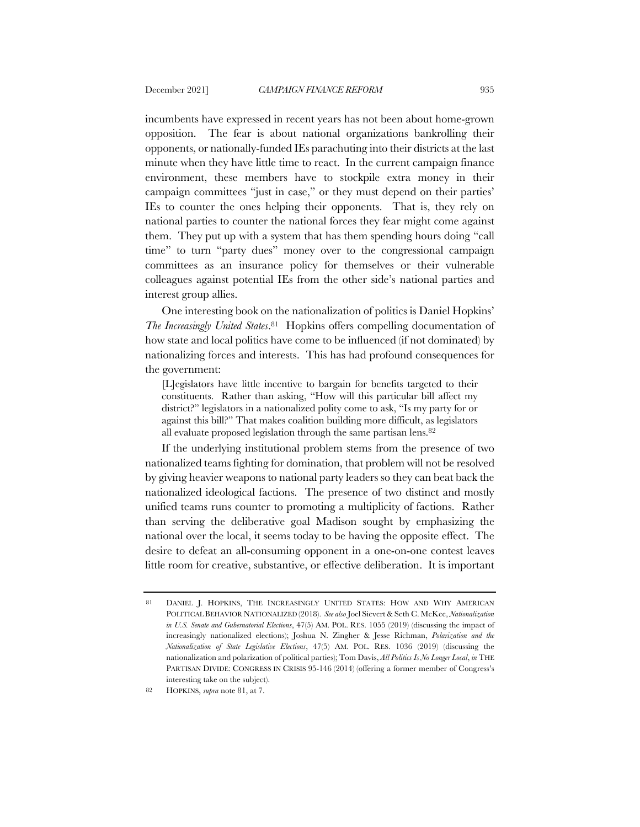incumbents have expressed in recent years has not been about home-grown opposition. The fear is about national organizations bankrolling their opponents, or nationally-funded IEs parachuting into their districts at the last minute when they have little time to react. In the current campaign finance environment, these members have to stockpile extra money in their campaign committees "just in case," or they must depend on their parties' IEs to counter the ones helping their opponents. That is, they rely on national parties to counter the national forces they fear might come against them. They put up with a system that has them spending hours doing "call time" to turn "party dues" money over to the congressional campaign committees as an insurance policy for themselves or their vulnerable colleagues against potential IEs from the other side's national parties and interest group allies.

One interesting book on the nationalization of politics is Daniel Hopkins' *The Increasingly United States*.81 Hopkins offers compelling documentation of how state and local politics have come to be influenced (if not dominated) by nationalizing forces and interests. This has had profound consequences for the government:

[L]egislators have little incentive to bargain for benefits targeted to their constituents. Rather than asking, "How will this particular bill affect my district?" legislators in a nationalized polity come to ask, "Is my party for or against this bill?" That makes coalition building more difficult, as legislators all evaluate proposed legislation through the same partisan lens.82

If the underlying institutional problem stems from the presence of two nationalized teams fighting for domination, that problem will not be resolved by giving heavier weapons to national party leaders so they can beat back the nationalized ideological factions. The presence of two distinct and mostly unified teams runs counter to promoting a multiplicity of factions. Rather than serving the deliberative goal Madison sought by emphasizing the national over the local, it seems today to be having the opposite effect. The desire to defeat an all-consuming opponent in a one-on-one contest leaves little room for creative, substantive, or effective deliberation. It is important

<sup>81</sup> DANIEL J. HOPKINS, THE INCREASINGLY UNITED STATES: HOW AND WHY AMERICAN POLITICAL BEHAVIOR NATIONALIZED (2018). *See also* Joel Sievert & Seth C. McKee, *Nationalization in U.S. Senate and Gubernatorial Elections*, 47(5) AM. POL. RES. 1055 (2019) (discussing the impact of increasingly nationalized elections); Joshua N. Zingher & Jesse Richman, *Polarization and the Nationalization of State Legislative Elections*, 47(5) AM. POL. RES. 1036 (2019) (discussing the nationalization and polarization of political parties); Tom Davis, *All Politics Is No Longer Local*, *in* THE PARTISAN DIVIDE: CONGRESS IN CRISIS 95-146 (2014) (offering a former member of Congress's interesting take on the subject).

<sup>82</sup> HOPKINS, *supra* note 81, at 7.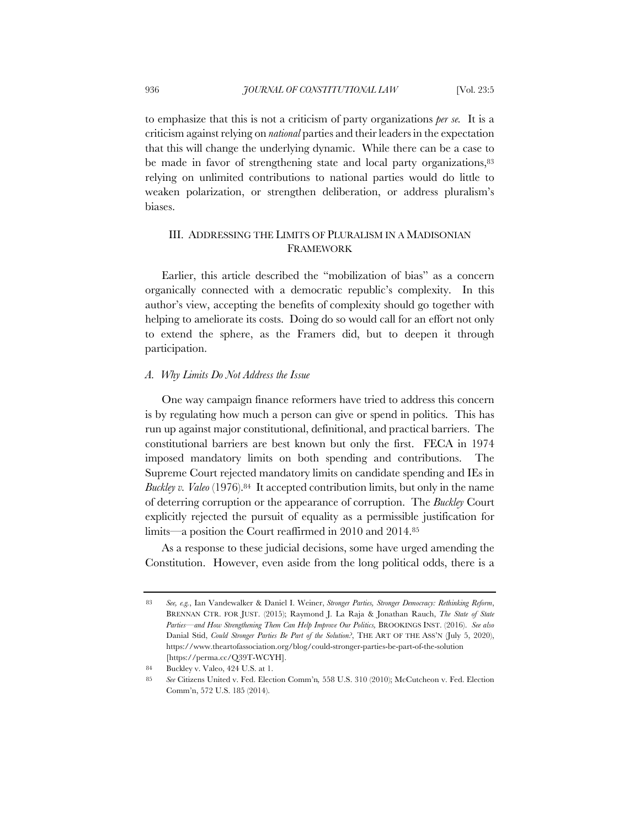to emphasize that this is not a criticism of party organizations *per se.* It is a criticism against relying on *national* parties and their leaders in the expectation that this will change the underlying dynamic. While there can be a case to be made in favor of strengthening state and local party organizations, 83 relying on unlimited contributions to national parties would do little to weaken polarization, or strengthen deliberation, or address pluralism's biases.

# III. ADDRESSING THE LIMITS OF PLURALISM IN A MADISONIAN FRAMEWORK

Earlier, this article described the "mobilization of bias" as a concern organically connected with a democratic republic's complexity. In this author's view, accepting the benefits of complexity should go together with helping to ameliorate its costs. Doing do so would call for an effort not only to extend the sphere, as the Framers did, but to deepen it through participation.

## *A. Why Limits Do Not Address the Issue*

One way campaign finance reformers have tried to address this concern is by regulating how much a person can give or spend in politics. This has run up against major constitutional, definitional, and practical barriers. The constitutional barriers are best known but only the first. FECA in 1974 imposed mandatory limits on both spending and contributions. The Supreme Court rejected mandatory limits on candidate spending and IEs in *Buckley v. Valeo* (1976).84 It accepted contribution limits, but only in the name of deterring corruption or the appearance of corruption. The *Buckley* Court explicitly rejected the pursuit of equality as a permissible justification for limits—a position the Court reaffirmed in 2010 and 2014.85

As a response to these judicial decisions, some have urged amending the Constitution. However, even aside from the long political odds, there is a

84 Buckley v. Valeo, 424 U.S. at 1.

<sup>83</sup> *See, e.g.*, Ian Vandewalker & Daniel I. Weiner, *Stronger Parties, Stronger Democracy: Rethinking Reform*, BRENNAN CTR. FOR JUST. (2015); Raymond J. La Raja & Jonathan Rauch, *The State of State Parties—and How Strengthening Them Can Help Improve Our Politics,* BROOKINGS INST. (2016). *See also* Danial Stid, *Could Stronger Parties Be Part of the Solution?*, THE ART OF THE ASS'N (July 5, 2020), https://www.theartofassociation.org/blog/could-stronger-parties-be-part-of-the-solution [https://perma.cc/Q39T-WCYH].

<sup>85</sup> *See* Citizens United v. Fed. Election Comm'n*,* 558 U.S. 310 (2010); McCutcheon v. Fed. Election Comm'n, 572 U.S. 185 (2014).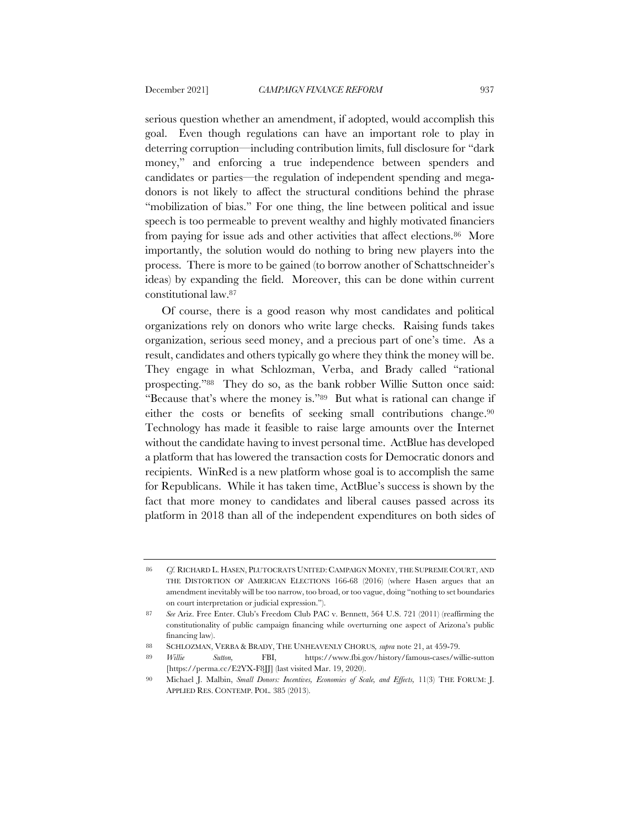serious question whether an amendment, if adopted, would accomplish this goal. Even though regulations can have an important role to play in deterring corruption—including contribution limits, full disclosure for "dark money," and enforcing a true independence between spenders and candidates or parties—the regulation of independent spending and megadonors is not likely to affect the structural conditions behind the phrase "mobilization of bias." For one thing, the line between political and issue speech is too permeable to prevent wealthy and highly motivated financiers from paying for issue ads and other activities that affect elections.<sup>86</sup> More importantly, the solution would do nothing to bring new players into the process. There is more to be gained (to borrow another of Schattschneider's ideas) by expanding the field. Moreover, this can be done within current constitutional law.87

Of course, there is a good reason why most candidates and political organizations rely on donors who write large checks. Raising funds takes organization, serious seed money, and a precious part of one's time. As a result, candidates and others typically go where they think the money will be. They engage in what Schlozman, Verba, and Brady called "rational prospecting."88 They do so, as the bank robber Willie Sutton once said: "Because that's where the money is."89 But what is rational can change if either the costs or benefits of seeking small contributions change.90 Technology has made it feasible to raise large amounts over the Internet without the candidate having to invest personal time. ActBlue has developed a platform that has lowered the transaction costs for Democratic donors and recipients. WinRed is a new platform whose goal is to accomplish the same for Republicans. While it has taken time, ActBlue's success is shown by the fact that more money to candidates and liberal causes passed across its platform in 2018 than all of the independent expenditures on both sides of

<sup>86</sup> *Cf.* RICHARD L. HASEN, PLUTOCRATS UNITED: CAMPAIGN MONEY, THE SUPREME COURT, AND THE DISTORTION OF AMERICAN ELECTIONS 166-68 (2016) (where Hasen argues that an amendment inevitably will be too narrow, too broad, or too vague, doing "nothing to set boundaries on court interpretation or judicial expression.").

<sup>87</sup> *See* Ariz. Free Enter. Club's Freedom Club PAC v. Bennett, 564 U.S. 721 (2011) (reaffirming the constitutionality of public campaign financing while overturning one aspect of Arizona's public financing law).

<sup>88</sup> SCHLOZMAN, VERBA & BRADY, THE UNHEAVENLY CHORUS*, supra* note 21, at 459-79.

<sup>89</sup> *Willie Sutton,* FBI, https://www.fbi.gov/history/famous-cases/willie-sutton [https://perma.cc/E2YX-F8]]] (last visited Mar. 19, 2020).

<sup>90</sup> Michael J. Malbin, *Small Donors: Incentives, Economies of Scale, and Effects,* 11(3) THE FORUM: J. APPLIED RES. CONTEMP. POL. 385 (2013).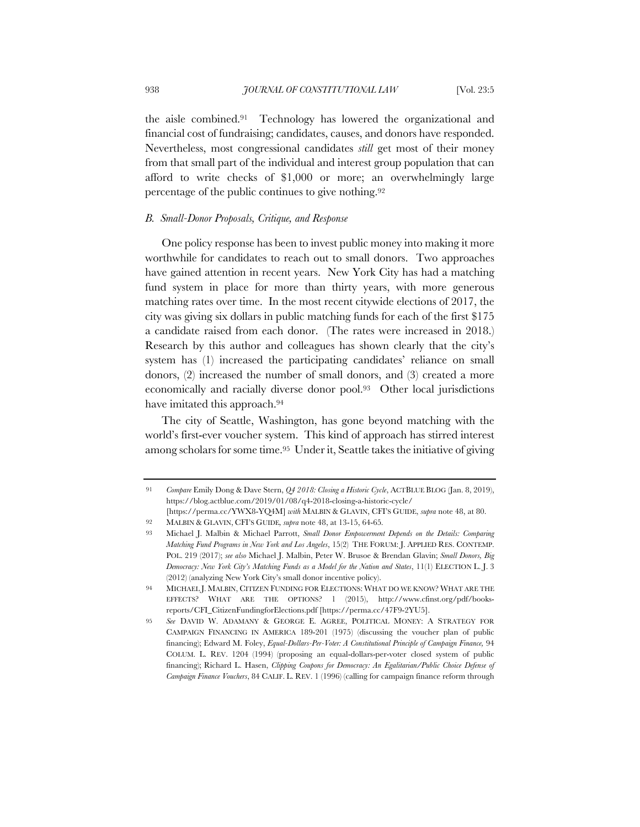the aisle combined.91 Technology has lowered the organizational and financial cost of fundraising; candidates, causes, and donors have responded. Nevertheless, most congressional candidates *still* get most of their money from that small part of the individual and interest group population that can afford to write checks of \$1,000 or more; an overwhelmingly large percentage of the public continues to give nothing.92

# *B. Small-Donor Proposals, Critique, and Response*

One policy response has been to invest public money into making it more worthwhile for candidates to reach out to small donors. Two approaches have gained attention in recent years. New York City has had a matching fund system in place for more than thirty years, with more generous matching rates over time. In the most recent citywide elections of 2017, the city was giving six dollars in public matching funds for each of the first \$175 a candidate raised from each donor. (The rates were increased in 2018.) Research by this author and colleagues has shown clearly that the city's system has (1) increased the participating candidates' reliance on small donors, (2) increased the number of small donors, and (3) created a more economically and racially diverse donor pool.93 Other local jurisdictions have imitated this approach.<sup>94</sup>

The city of Seattle, Washington, has gone beyond matching with the world's first-ever voucher system. This kind of approach has stirred interest among scholars for some time.95 Under it, Seattle takes the initiative of giving

<sup>91</sup> *Compare* Emily Dong & Dave Stern, *Q4 2018: Closing a Historic Cycle*, ACTBLUE BLOG (Jan. 8, 2019), https://blog.actblue.com/2019/01/08/q4-2018-closing-a-historic-cycle/ [https://perma.cc/YWX8-YQ4M] *with* MALBIN & GLAVIN, CFI'S GUIDE, *supra* note 48, at 80.

<sup>92</sup> MALBIN & GLAVIN, CFI'S GUIDE*, supra* note 48, at 13-15, 64-65*.*

<sup>93</sup> Michael J. Malbin & Michael Parrott, *Small Donor Empowerment Depends on the Details: Comparing Matching Fund Programs in New York and Los Angeles*, 15(2) THE FORUM: J. APPLIED RES. CONTEMP. POL. 219 (2017); *see also* Michael J. Malbin, Peter W. Brusoe & Brendan Glavin; *Small Donors, Big Democracy: New York City's Matching Funds as a Model for the Nation and States*, 11(1) ELECTION L. J. 3 (2012) (analyzing New York City's small donor incentive policy).

<sup>94</sup> MICHAEL J. MALBIN, CITIZEN FUNDING FOR ELECTIONS: WHAT DO WE KNOW? WHAT ARE THE EFFECTS? WHAT ARE THE OPTIONS? 1 (2015), http://www.cfinst.org/pdf/booksreports/CFI\_CitizenFundingforElections.pdf [https://perma.cc/47F9-2YU5].

<sup>95</sup> *See* DAVID W. ADAMANY & GEORGE E. AGREE, POLITICAL MONEY: A STRATEGY FOR CAMPAIGN FINANCING IN AMERICA 189-201 (1975) (discussing the voucher plan of public financing); Edward M. Foley, *Equal-Dollars-Per-Voter: A Constitutional Principle of Campaign Finance,* 94 COLUM. L. REV. 1204 (1994) (proposing an equal-dollars-per-voter closed system of public financing); Richard L. Hasen, *Clipping Coupons for Democracy: An Egalitarian/Public Choice Defense of Campaign Finance Vouchers*, 84 CALIF. L. REV. 1 (1996) (calling for campaign finance reform through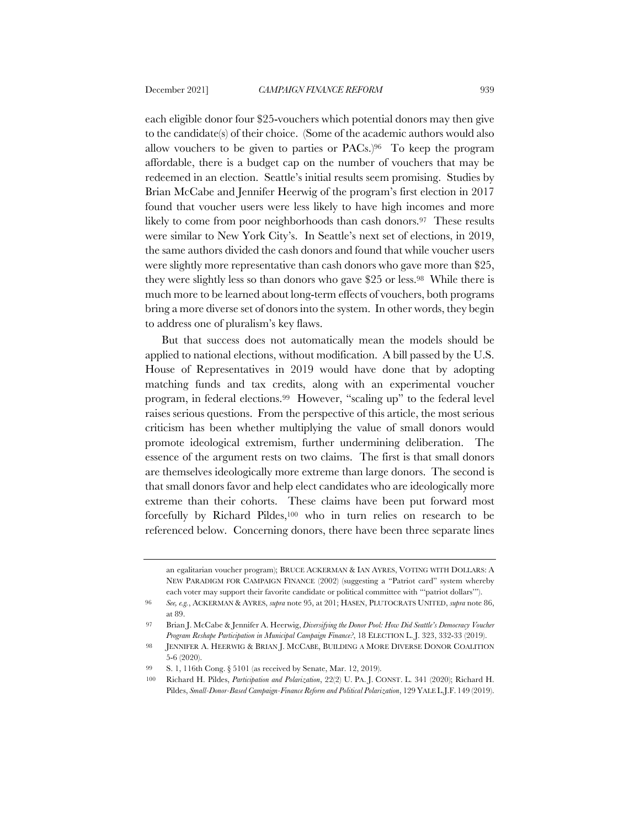each eligible donor four \$25-vouchers which potential donors may then give to the candidate(s) of their choice. (Some of the academic authors would also allow vouchers to be given to parties or PACs.)96 To keep the program affordable, there is a budget cap on the number of vouchers that may be redeemed in an election. Seattle's initial results seem promising. Studies by Brian McCabe and Jennifer Heerwig of the program's first election in 2017 found that voucher users were less likely to have high incomes and more likely to come from poor neighborhoods than cash donors.<sup>97</sup> These results were similar to New York City's. In Seattle's next set of elections, in 2019, the same authors divided the cash donors and found that while voucher users were slightly more representative than cash donors who gave more than \$25, they were slightly less so than donors who gave \$25 or less.98 While there is much more to be learned about long-term effects of vouchers, both programs bring a more diverse set of donors into the system. In other words, they begin to address one of pluralism's key flaws.

But that success does not automatically mean the models should be applied to national elections, without modification. A bill passed by the U.S. House of Representatives in 2019 would have done that by adopting matching funds and tax credits, along with an experimental voucher program, in federal elections.99 However, "scaling up" to the federal level raises serious questions. From the perspective of this article, the most serious criticism has been whether multiplying the value of small donors would promote ideological extremism, further undermining deliberation. The essence of the argument rests on two claims. The first is that small donors are themselves ideologically more extreme than large donors. The second is that small donors favor and help elect candidates who are ideologically more extreme than their cohorts. These claims have been put forward most forcefully by Richard Pildes,100 who in turn relies on research to be referenced below. Concerning donors, there have been three separate lines

an egalitarian voucher program); BRUCE ACKERMAN & IAN AYRES, VOTING WITH DOLLARS: A NEW PARADIGM FOR CAMPAIGN FINANCE (2002) (suggesting a "Patriot card" system whereby each voter may support their favorite candidate or political committee with "'patriot dollars'").

<sup>96</sup> *See, e.g.*, ACKERMAN & AYRES, *supra* note 95, at 201; HASEN, PLUTOCRATS UNITED, *supra* note 86, at 89.

<sup>97</sup> Brian J. McCabe & Jennifer A. Heerwig, *Diversifying the Donor Pool: How Did Seattle's Democracy Voucher Program Reshape Participation in Municipal Campaign Finance?*, 18 ELECTION L. J. 323, 332-33 (2019).

<sup>98</sup> JENNIFER A. HEERWIG & BRIAN J. MCCABE, BUILDING A MORE DIVERSE DONOR COALITION 5-6 (2020).

<sup>99</sup> S. 1, 116th Cong. § 5101 (as received by Senate, Mar. 12, 2019).

<sup>100</sup> Richard H. Pildes, *Participation and Polarization*, 22(2) U. PA. J. CONST. L. 341 (2020); Richard H. Pildes, *Small-Donor-Based Campaign-Finance Reform and Political Polarization*, 129 YALE L.J.F. 149 (2019).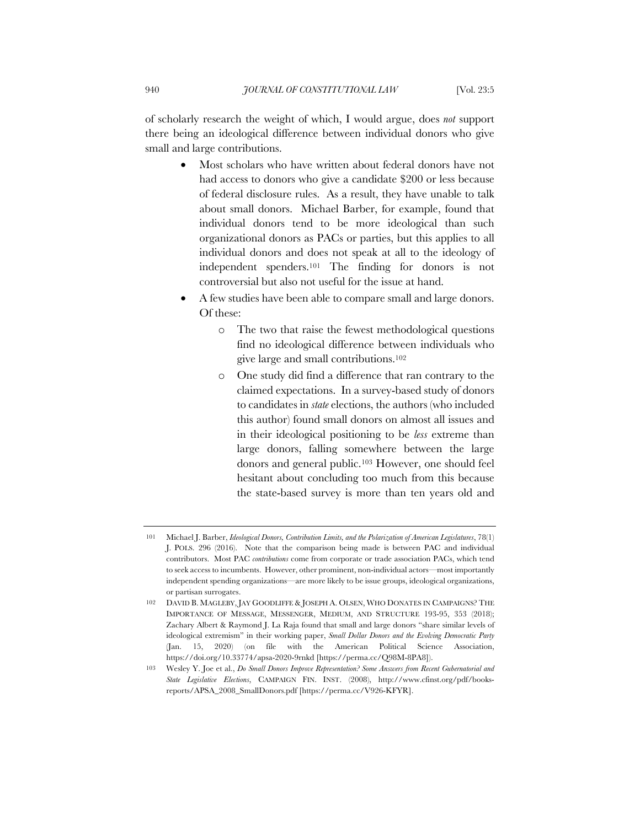of scholarly research the weight of which, I would argue, does *not* support there being an ideological difference between individual donors who give small and large contributions.

- Most scholars who have written about federal donors have not had access to donors who give a candidate \$200 or less because of federal disclosure rules. As a result, they have unable to talk about small donors. Michael Barber, for example, found that individual donors tend to be more ideological than such organizational donors as PACs or parties, but this applies to all individual donors and does not speak at all to the ideology of independent spenders.101 The finding for donors is not controversial but also not useful for the issue at hand.
- A few studies have been able to compare small and large donors. Of these:
	- o The two that raise the fewest methodological questions find no ideological difference between individuals who give large and small contributions.102
	- o One study did find a difference that ran contrary to the claimed expectations. In a survey-based study of donors to candidates in *state* elections, the authors (who included this author) found small donors on almost all issues and in their ideological positioning to be *less* extreme than large donors, falling somewhere between the large donors and general public.103 However, one should feel hesitant about concluding too much from this because the state-based survey is more than ten years old and

<sup>101</sup> Michael J. Barber, *Ideological Donors, Contribution Limits, and the Polarization of American Legislatures*, 78(1) J. POLS. 296 (2016). Note that the comparison being made is between PAC and individual contributors. Most PAC *contributions* come from corporate or trade association PACs, which tend to seek access to incumbents. However, other prominent, non-individual actors—most importantly independent spending organizations—are more likely to be issue groups, ideological organizations, or partisan surrogates.

<sup>102</sup> DAVID B. MAGLEBY, JAY GOODLIFFE & JOSEPH A. OLSEN, WHO DONATES IN CAMPAIGNS? THE IMPORTANCE OF MESSAGE, MESSENGER, MEDIUM, AND STRUCTURE 193-95, 353 (2018); Zachary Albert & Raymond J. La Raja found that small and large donors "share similar levels of ideological extremism" in their working paper, *Small Dollar Donors and the Evolving Democratic Party* (Jan. 15, 2020) (on file with the American Political Science Association, https://doi.org/10.33774/apsa-2020-9rnkd [https://perma.cc/Q98M-8PA8]).

<sup>103</sup> Wesley Y. Joe et al., *Do Small Donors Improve Representation? Some Answers from Recent Gubernatorial and State Legislative Elections*, CAMPAIGN FIN. INST. (2008), http://www.cfinst.org/pdf/booksreports/APSA\_2008\_SmallDonors.pdf [https://perma.cc/V926-KFYR].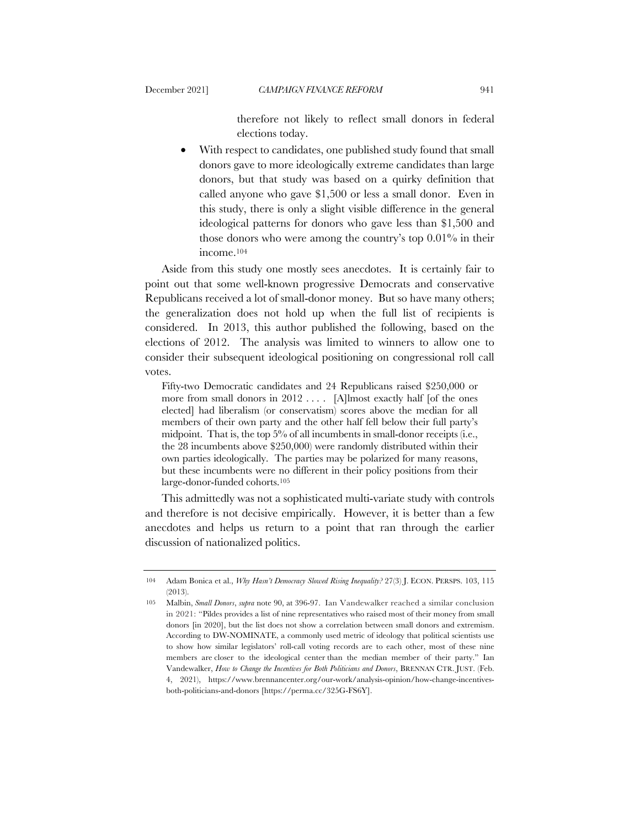therefore not likely to reflect small donors in federal elections today.

With respect to candidates, one published study found that small donors gave to more ideologically extreme candidates than large donors, but that study was based on a quirky definition that called anyone who gave \$1,500 or less a small donor. Even in this study, there is only a slight visible difference in the general ideological patterns for donors who gave less than \$1,500 and those donors who were among the country's top 0.01% in their income.104

Aside from this study one mostly sees anecdotes. It is certainly fair to point out that some well-known progressive Democrats and conservative Republicans received a lot of small-donor money. But so have many others; the generalization does not hold up when the full list of recipients is considered. In 2013, this author published the following, based on the elections of 2012. The analysis was limited to winners to allow one to consider their subsequent ideological positioning on congressional roll call votes.

Fifty-two Democratic candidates and 24 Republicans raised \$250,000 or more from small donors in 2012 . . . . [A]lmost exactly half [of the ones elected] had liberalism (or conservatism) scores above the median for all members of their own party and the other half fell below their full party's midpoint. That is, the top 5% of all incumbents in small-donor receipts (i.e., the 28 incumbents above \$250,000) were randomly distributed within their own parties ideologically. The parties may be polarized for many reasons, but these incumbents were no different in their policy positions from their large-donor-funded cohorts.105

This admittedly was not a sophisticated multi-variate study with controls and therefore is not decisive empirically. However, it is better than a few anecdotes and helps us return to a point that ran through the earlier discussion of nationalized politics.

<sup>104</sup> Adam Bonica et al., *Why Hasn't Democracy Slowed Rising Inequality?* 27(3) J. ECON. PERSPS. 103, 115 (2013).

<sup>105</sup> Malbin, *Small Donors*, *supra* note 90, at 396-97. Ian Vandewalker reached a similar conclusion in 2021: "Pildes provides a list of nine representatives who raised most of their money from small donors [in 2020], but the list does not show a correlation between small donors and extremism. According to DW-NOMINATE, a commonly used metric of ideology that political scientists use to show how similar legislators' roll-call voting records are to each other, most of these nine members are closer to the ideological center than the median member of their party." Ian Vandewalker, *How to Change the Incentives for Both Politicians and Donors*, BRENNAN CTR. JUST. (Feb. 4, 2021), https://www.brennancenter.org/our-work/analysis-opinion/how-change-incentivesboth-politicians-and-donors [https://perma.cc/325G-FS6Y].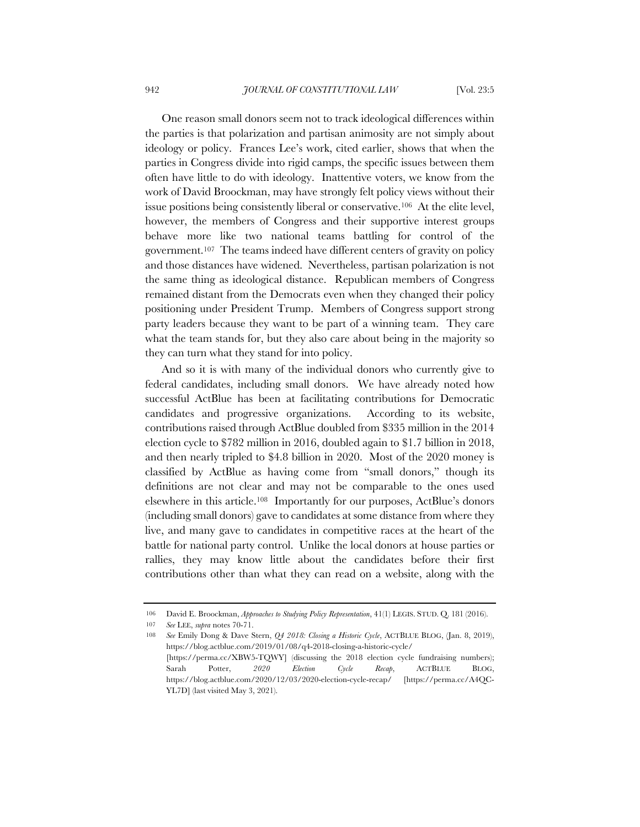One reason small donors seem not to track ideological differences within the parties is that polarization and partisan animosity are not simply about ideology or policy. Frances Lee's work, cited earlier, shows that when the parties in Congress divide into rigid camps, the specific issues between them often have little to do with ideology. Inattentive voters, we know from the work of David Broockman, may have strongly felt policy views without their issue positions being consistently liberal or conservative.106 At the elite level, however, the members of Congress and their supportive interest groups behave more like two national teams battling for control of the government.107 The teams indeed have different centers of gravity on policy and those distances have widened. Nevertheless, partisan polarization is not the same thing as ideological distance. Republican members of Congress remained distant from the Democrats even when they changed their policy positioning under President Trump. Members of Congress support strong party leaders because they want to be part of a winning team. They care what the team stands for, but they also care about being in the majority so they can turn what they stand for into policy.

And so it is with many of the individual donors who currently give to federal candidates, including small donors. We have already noted how successful ActBlue has been at facilitating contributions for Democratic candidates and progressive organizations. According to its website, contributions raised through ActBlue doubled from \$335 million in the 2014 election cycle to \$782 million in 2016, doubled again to \$1.7 billion in 2018, and then nearly tripled to \$4.8 billion in 2020. Most of the 2020 money is classified by ActBlue as having come from "small donors," though its definitions are not clear and may not be comparable to the ones used elsewhere in this article.108 Importantly for our purposes, ActBlue's donors (including small donors) gave to candidates at some distance from where they live, and many gave to candidates in competitive races at the heart of the battle for national party control. Unlike the local donors at house parties or rallies, they may know little about the candidates before their first contributions other than what they can read on a website, along with the

<sup>106</sup> David E. Broockman, *Approaches to Studying Policy Representation*, 41(1) LEGIS. STUD. Q. 181 (2016).

<sup>107</sup> *See* LEE, *supra* notes 70-71.

<sup>108</sup> *See* Emily Dong & Dave Stern, *Q4 2018: Closing a Historic Cycle*, ACTBLUE BLOG, (Jan. 8, 2019), https://blog.actblue.com/2019/01/08/q4-2018-closing-a-historic-cycle/ [https://perma.cc/XBW5-TQWY] (discussing the 2018 election cycle fundraising numbers); Sarah Potter, *2020 Election Cycle Recap*, ACTBLUE BLOG, https://blog.actblue.com/2020/12/03/2020-election-cycle-recap/ [https://perma.cc/A4QC-YL7D] (last visited May 3, 2021).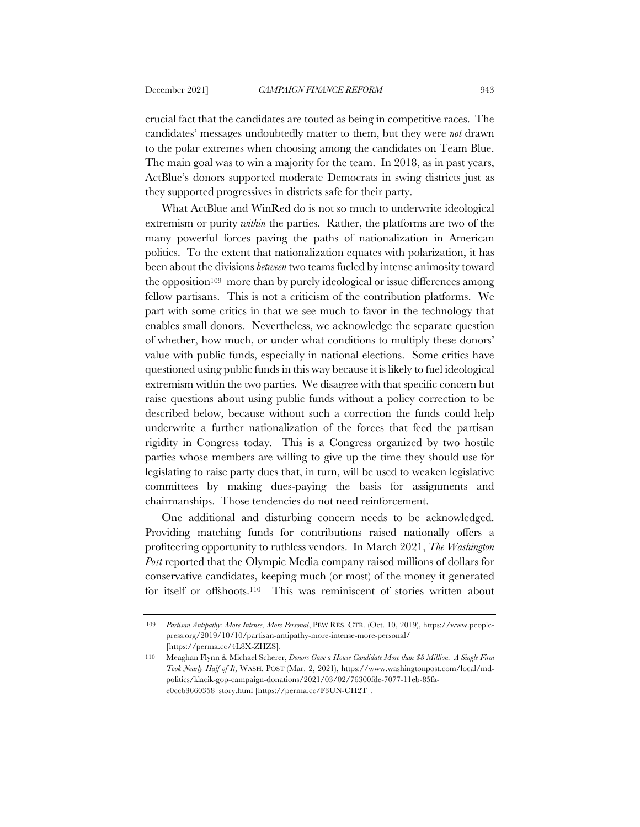crucial fact that the candidates are touted as being in competitive races. The candidates' messages undoubtedly matter to them, but they were *not* drawn to the polar extremes when choosing among the candidates on Team Blue. The main goal was to win a majority for the team. In 2018, as in past years, ActBlue's donors supported moderate Democrats in swing districts just as they supported progressives in districts safe for their party.

What ActBlue and WinRed do is not so much to underwrite ideological extremism or purity *within* the parties. Rather, the platforms are two of the many powerful forces paving the paths of nationalization in American politics. To the extent that nationalization equates with polarization, it has been about the divisions *between* two teams fueled by intense animosity toward the opposition109 more than by purely ideological or issue differences among fellow partisans. This is not a criticism of the contribution platforms. We part with some critics in that we see much to favor in the technology that enables small donors. Nevertheless, we acknowledge the separate question of whether, how much, or under what conditions to multiply these donors' value with public funds, especially in national elections. Some critics have questioned using public funds in this way because it is likely to fuel ideological extremism within the two parties. We disagree with that specific concern but raise questions about using public funds without a policy correction to be described below, because without such a correction the funds could help underwrite a further nationalization of the forces that feed the partisan rigidity in Congress today. This is a Congress organized by two hostile parties whose members are willing to give up the time they should use for legislating to raise party dues that, in turn, will be used to weaken legislative committees by making dues-paying the basis for assignments and chairmanships. Those tendencies do not need reinforcement.

One additional and disturbing concern needs to be acknowledged. Providing matching funds for contributions raised nationally offers a profiteering opportunity to ruthless vendors. In March 2021, *The Washington Post* reported that the Olympic Media company raised millions of dollars for conservative candidates, keeping much (or most) of the money it generated for itself or offshoots.110 This was reminiscent of stories written about

<sup>109</sup> *Partisan Antipathy: More Intense, More Personal*, PEW RES. CTR. (Oct. 10, 2019), https://www.peoplepress.org/2019/10/10/partisan-antipathy-more-intense-more-personal/ [https://perma.cc/4L8X-ZHZS].

<sup>110</sup> Meaghan Flynn & Michael Scherer, *Donors Gave a House Candidate More than \$8 Million. A Single Firm Took Nearly Half of It*, WASH. POST (Mar. 2, 2021), https://www.washingtonpost.com/local/mdpolitics/klacik-gop-campaign-donations/2021/03/02/76300fde-7077-11eb-85fae0ccb3660358\_story.html [https://perma.cc/F3UN-CH2T].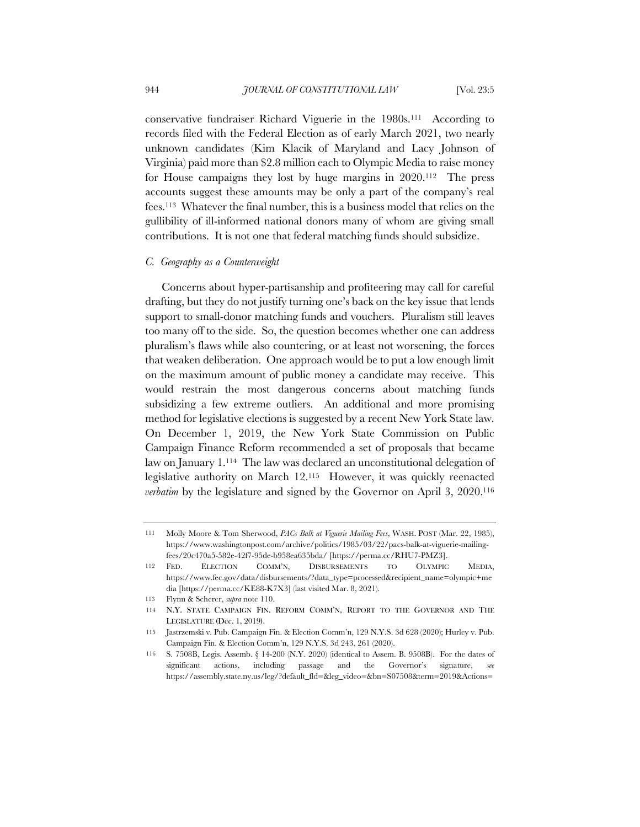conservative fundraiser Richard Viguerie in the 1980s.111 According to records filed with the Federal Election as of early March 2021, two nearly unknown candidates (Kim Klacik of Maryland and Lacy Johnson of Virginia) paid more than \$2.8 million each to Olympic Media to raise money for House campaigns they lost by huge margins in 2020.112 The press accounts suggest these amounts may be only a part of the company's real fees.113 Whatever the final number, this is a business model that relies on the gullibility of ill-informed national donors many of whom are giving small contributions. It is not one that federal matching funds should subsidize.

## *C. Geography as a Counterweight*

Concerns about hyper-partisanship and profiteering may call for careful drafting, but they do not justify turning one's back on the key issue that lends support to small-donor matching funds and vouchers. Pluralism still leaves too many off to the side. So, the question becomes whether one can address pluralism's flaws while also countering, or at least not worsening, the forces that weaken deliberation. One approach would be to put a low enough limit on the maximum amount of public money a candidate may receive. This would restrain the most dangerous concerns about matching funds subsidizing a few extreme outliers. An additional and more promising method for legislative elections is suggested by a recent New York State law. On December 1, 2019, the New York State Commission on Public Campaign Finance Reform recommended a set of proposals that became law on January 1.114 The law was declared an unconstitutional delegation of legislative authority on March 12.115 However, it was quickly reenacted *verbatim* by the legislature and signed by the Governor on April 3, 2020.116

<sup>111</sup> Molly Moore & Tom Sherwood, *PACs Balk at Viguerie Mailing Fees*, WASH. POST (Mar. 22, 1985), https://www.washingtonpost.com/archive/politics/1985/03/22/pacs-balk-at-viguerie-mailingfees/20c470a5-582e-42f7-95de-b958ea635bda/ [https://perma.cc/RHU7-PMZ3].

<sup>112</sup> FED. ELECTION COMM'N, DISBURSEMENTS TO OLYMPIC MEDIA, https://www.fec.gov/data/disbursements/?data\_type=processed&recipient\_name=olympic+me dia [https://perma.cc/KE88-K7X3] (last visited Mar. 8, 2021).

<sup>113</sup> Flynn & Scherer, *supra* note 110.

<sup>114</sup> N.Y. STATE CAMPAIGN FIN. REFORM COMM'N, REPORT TO THE GOVERNOR AND THE LEGISLATURE (Dec. 1, 2019).

<sup>115</sup> Jastrzemski v. Pub. Campaign Fin. & Election Comm'n, 129 N.Y.S. 3d 628 (2020); Hurley v. Pub. Campaign Fin. & Election Comm'n, 129 N.Y.S. 3d 243, 261 (2020).

<sup>116</sup> S. 7508B, Legis. Assemb. § 14-200 (N.Y. 2020) (identical to Assem. B. 9508B). For the dates of significant actions, including passage and the Governor's signature, *see* https://assembly.state.ny.us/leg/?default\_fld=&leg\_video=&bn=S07508&term=2019&Actions=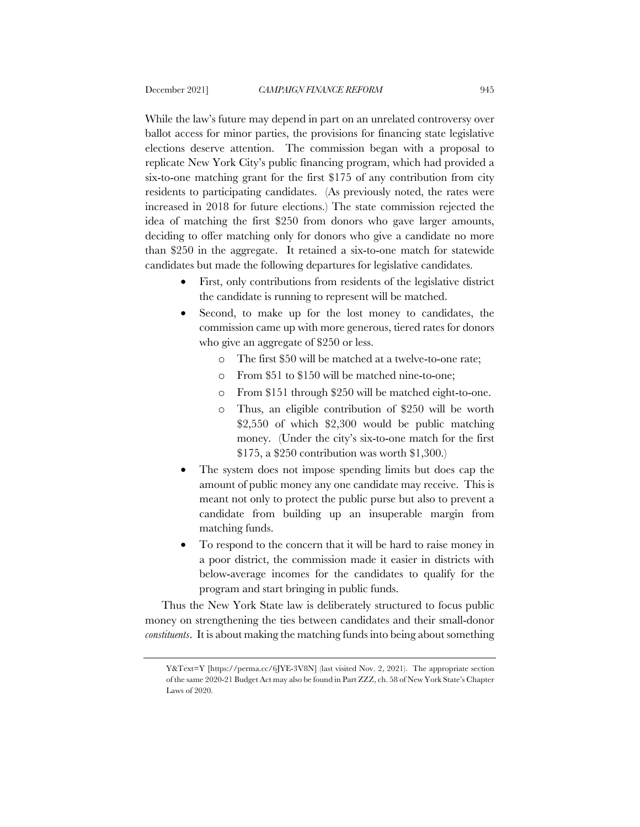While the law's future may depend in part on an unrelated controversy over ballot access for minor parties, the provisions for financing state legislative elections deserve attention. The commission began with a proposal to replicate New York City's public financing program, which had provided a six-to-one matching grant for the first \$175 of any contribution from city residents to participating candidates. (As previously noted, the rates were increased in 2018 for future elections.) The state commission rejected the idea of matching the first \$250 from donors who gave larger amounts, deciding to offer matching only for donors who give a candidate no more than \$250 in the aggregate. It retained a six-to-one match for statewide candidates but made the following departures for legislative candidates.

- First, only contributions from residents of the legislative district the candidate is running to represent will be matched.
- Second, to make up for the lost money to candidates, the commission came up with more generous, tiered rates for donors who give an aggregate of \$250 or less.
	- o The first \$50 will be matched at a twelve-to-one rate;
	- o From \$51 to \$150 will be matched nine-to-one;
	- o From \$151 through \$250 will be matched eight-to-one.
	- o Thus, an eligible contribution of \$250 will be worth \$2,550 of which \$2,300 would be public matching money. (Under the city's six-to-one match for the first \$175, a \$250 contribution was worth \$1,300.)
- The system does not impose spending limits but does cap the amount of public money any one candidate may receive. This is meant not only to protect the public purse but also to prevent a candidate from building up an insuperable margin from matching funds.
- To respond to the concern that it will be hard to raise money in a poor district, the commission made it easier in districts with below-average incomes for the candidates to qualify for the program and start bringing in public funds.

Thus the New York State law is deliberately structured to focus public money on strengthening the ties between candidates and their small-donor *constituents*. It is about making the matching funds into being about something

Y&Text=Y [https://perma.cc/6JYE-3V8N] (last visited Nov. 2, 2021). The appropriate section of the same 2020-21 Budget Act may also be found in Part ZZZ, ch. 58 of New York State's Chapter Laws of 2020.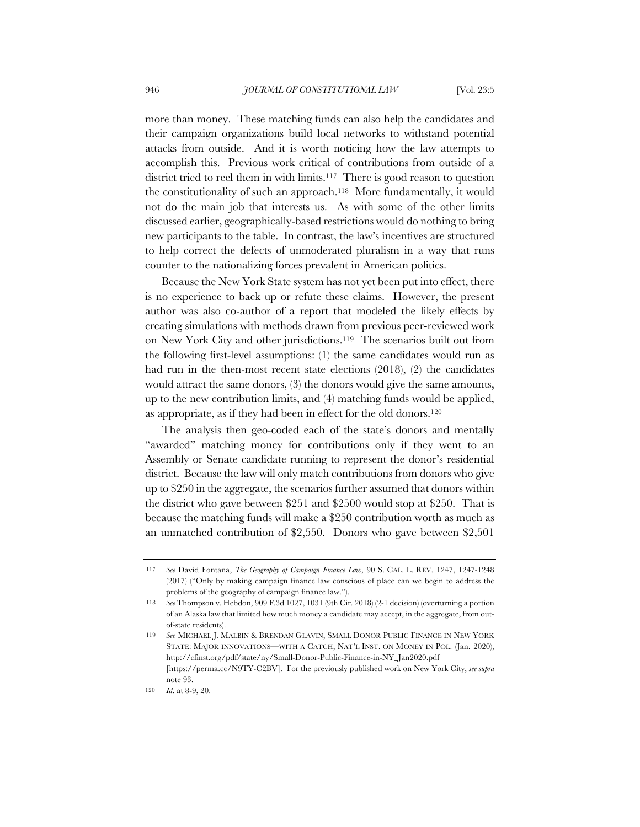more than money. These matching funds can also help the candidates and their campaign organizations build local networks to withstand potential attacks from outside. And it is worth noticing how the law attempts to accomplish this. Previous work critical of contributions from outside of a district tried to reel them in with limits.<sup>117</sup> There is good reason to question the constitutionality of such an approach.118 More fundamentally, it would not do the main job that interests us. As with some of the other limits discussed earlier, geographically-based restrictions would do nothing to bring new participants to the table. In contrast, the law's incentives are structured to help correct the defects of unmoderated pluralism in a way that runs counter to the nationalizing forces prevalent in American politics.

Because the New York State system has not yet been put into effect, there is no experience to back up or refute these claims. However, the present author was also co-author of a report that modeled the likely effects by creating simulations with methods drawn from previous peer-reviewed work on New York City and other jurisdictions.119 The scenarios built out from the following first-level assumptions: (1) the same candidates would run as had run in the then-most recent state elections (2018), (2) the candidates would attract the same donors, (3) the donors would give the same amounts, up to the new contribution limits, and (4) matching funds would be applied, as appropriate, as if they had been in effect for the old donors.120

The analysis then geo-coded each of the state's donors and mentally "awarded" matching money for contributions only if they went to an Assembly or Senate candidate running to represent the donor's residential district. Because the law will only match contributions from donors who give up to \$250 in the aggregate, the scenarios further assumed that donors within the district who gave between \$251 and \$2500 would stop at \$250. That is because the matching funds will make a \$250 contribution worth as much as an unmatched contribution of \$2,550. Donors who gave between \$2,501

<sup>117</sup> *See* David Fontana, *The Geography of Campaign Finance Law*, 90 S. CAL. L. REV. 1247, 1247-1248 (2017) ("Only by making campaign finance law conscious of place can we begin to address the problems of the geography of campaign finance law.").

<sup>118</sup> *See* Thompson v. Hebdon, 909 F.3d 1027, 1031 (9th Cir. 2018) (2-1 decision) (overturning a portion of an Alaska law that limited how much money a candidate may accept, in the aggregate, from outof-state residents).

<sup>119</sup> *See* MICHAEL J. MALBIN & BRENDAN GLAVIN, SMALL DONOR PUBLIC FINANCE IN NEW YORK STATE: MAJOR INNOVATIONS—WITH A CATCH, NAT'L INST. ON MONEY IN POL. (Jan. 2020), http://cfinst.org/pdf/state/ny/Small-Donor-Public-Finance-in-NY\_Jan2020.pdf [https://perma.cc/N9TY-C2BV]. For the previously published work on New York City, *see supra* note 93.

<sup>120</sup> *Id*. at 8-9, 20.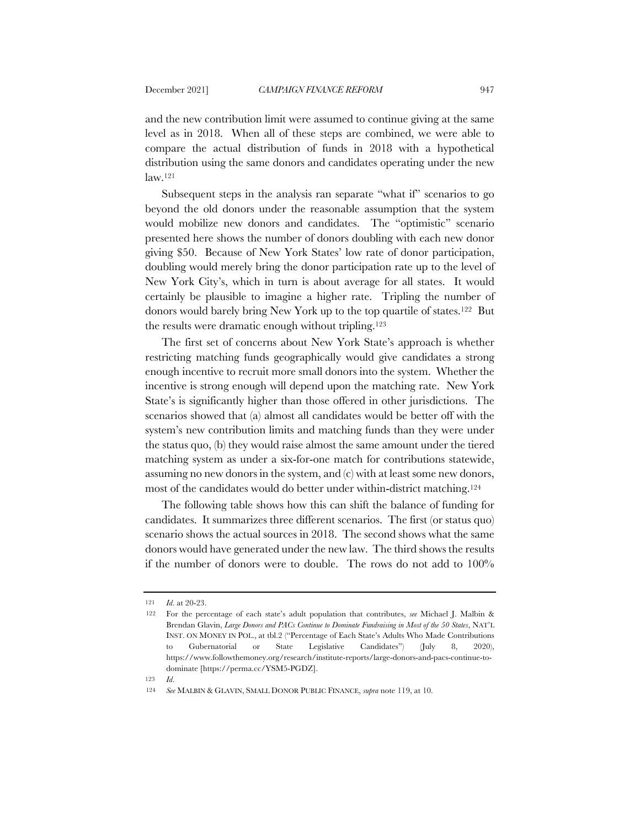and the new contribution limit were assumed to continue giving at the same level as in 2018. When all of these steps are combined, we were able to compare the actual distribution of funds in 2018 with a hypothetical distribution using the same donors and candidates operating under the new law.121

Subsequent steps in the analysis ran separate "what if" scenarios to go beyond the old donors under the reasonable assumption that the system would mobilize new donors and candidates. The "optimistic" scenario presented here shows the number of donors doubling with each new donor giving \$50. Because of New York States' low rate of donor participation, doubling would merely bring the donor participation rate up to the level of New York City's, which in turn is about average for all states. It would certainly be plausible to imagine a higher rate. Tripling the number of donors would barely bring New York up to the top quartile of states.122 But the results were dramatic enough without tripling.123

The first set of concerns about New York State's approach is whether restricting matching funds geographically would give candidates a strong enough incentive to recruit more small donors into the system. Whether the incentive is strong enough will depend upon the matching rate. New York State's is significantly higher than those offered in other jurisdictions. The scenarios showed that (a) almost all candidates would be better off with the system's new contribution limits and matching funds than they were under the status quo, (b) they would raise almost the same amount under the tiered matching system as under a six-for-one match for contributions statewide, assuming no new donors in the system, and (c) with at least some new donors, most of the candidates would do better under within-district matching.124

The following table shows how this can shift the balance of funding for candidates. It summarizes three different scenarios. The first (or status quo) scenario shows the actual sources in 2018. The second shows what the same donors would have generated under the new law. The third shows the results if the number of donors were to double. The rows do not add to 100%

123 *Id*.

<sup>121</sup> *Id*. at 20-23.

<sup>122</sup> For the percentage of each state's adult population that contributes, *see* Michael J. Malbin & Brendan Glavin, *Large Donors and PACs Continue to Dominate Fundraising in Most of the 50 States*, NAT'L INST. ON MONEY IN POL., at tbl.2 ("Percentage of Each State's Adults Who Made Contributions to Gubernatorial or State Legislative Candidates") (July 8, 2020), https://www.followthemoney.org/research/institute-reports/large-donors-and-pacs-continue-todominate [https://perma.cc/YSM5-PGDZ].

<sup>124</sup> *See* MALBIN & GLAVIN, SMALL DONOR PUBLIC FINANCE, *supra* note 119, at 10.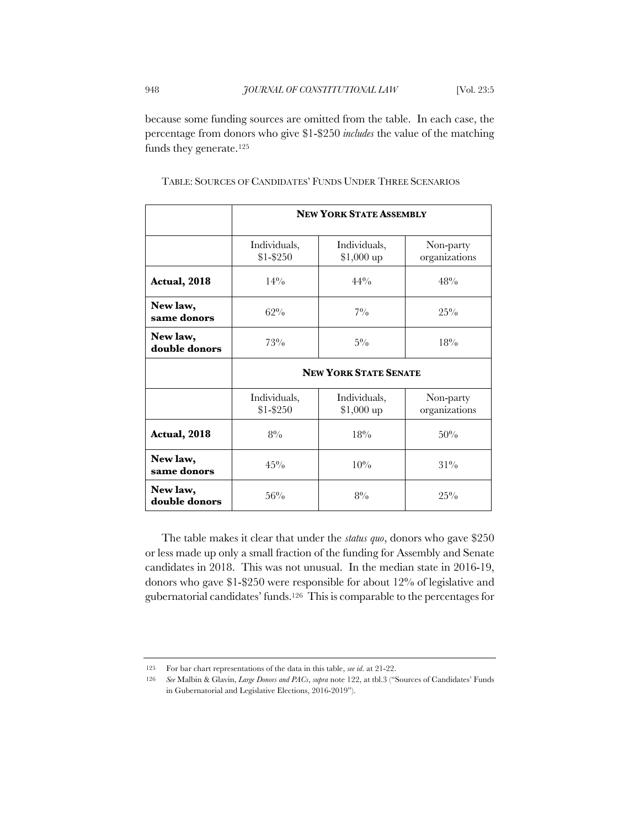because some funding sources are omitted from the table. In each case, the percentage from donors who give \$1-\$250 *includes* the value of the matching funds they generate.125

|                           | <b>NEW YORK STATE ASSEMBLY</b> |                             |                            |
|---------------------------|--------------------------------|-----------------------------|----------------------------|
|                           | Individuals,<br>\$1-\$250      | Individuals,<br>$$1,000$ up | Non-party<br>organizations |
| Actual, 2018              | $14\%$                         | $44\%$                      | 48%                        |
| New law,<br>same donors   | $62\%$                         | $7\%$                       | $25\%$                     |
| New law,<br>double donors | $73\%$                         | $5\%$                       | 18%                        |
|                           | <b>NEW YORK STATE SENATE</b>   |                             |                            |
|                           | Individuals,<br>\$1-\$250      | Individuals,<br>$$1,000$ up | Non-party<br>organizations |
| Actual, 2018              | $8\%$                          | 18%                         | 50%                        |
| New law,<br>same donors   | 45%                            | 10%                         | $31\%$                     |
| New law,<br>double donors | 56%                            | $8\%$                       | $25\%$                     |

TABLE: SOURCES OF CANDIDATES' FUNDS UNDER THREE SCENARIOS

The table makes it clear that under the *status quo*, donors who gave \$250 or less made up only a small fraction of the funding for Assembly and Senate candidates in 2018. This was not unusual. In the median state in 2016-19, donors who gave \$1-\$250 were responsible for about 12% of legislative and gubernatorial candidates' funds.126 This is comparable to the percentages for

<sup>125</sup> For bar chart representations of the data in this table, *see id*. at 21-22.

<sup>126</sup> *See* Malbin & Glavin, *Large Donors and PACs*, *supra* note 122, at tbl.3 ("Sources of Candidates' Funds in Gubernatorial and Legislative Elections, 2016-2019").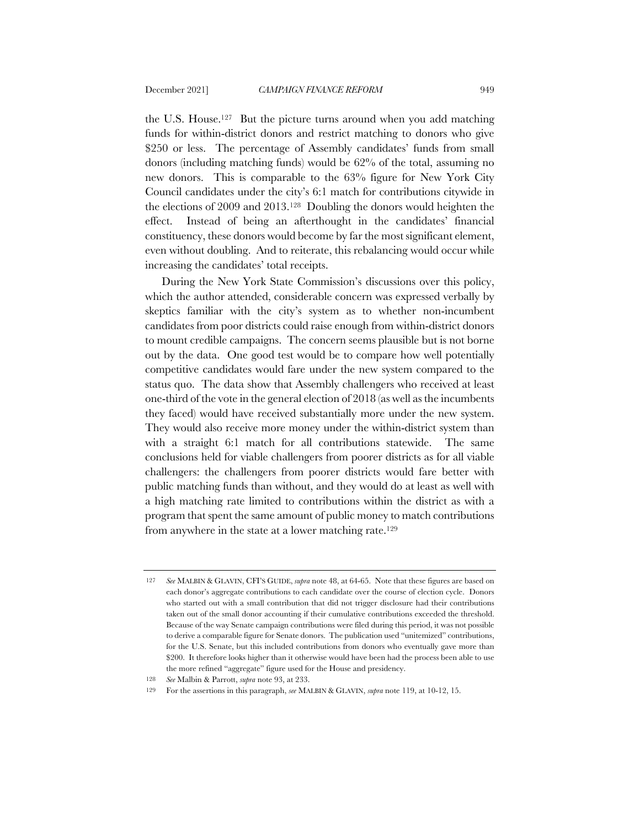the U.S. House.127 But the picture turns around when you add matching funds for within-district donors and restrict matching to donors who give \$250 or less. The percentage of Assembly candidates' funds from small donors (including matching funds) would be 62% of the total, assuming no new donors. This is comparable to the 63% figure for New York City Council candidates under the city's 6:1 match for contributions citywide in the elections of 2009 and 2013.128 Doubling the donors would heighten the effect. Instead of being an afterthought in the candidates' financial constituency, these donors would become by far the most significant element, even without doubling. And to reiterate, this rebalancing would occur while increasing the candidates' total receipts.

During the New York State Commission's discussions over this policy, which the author attended, considerable concern was expressed verbally by skeptics familiar with the city's system as to whether non-incumbent candidates from poor districts could raise enough from within-district donors to mount credible campaigns. The concern seems plausible but is not borne out by the data. One good test would be to compare how well potentially competitive candidates would fare under the new system compared to the status quo. The data show that Assembly challengers who received at least one-third of the vote in the general election of 2018 (as well as the incumbents they faced) would have received substantially more under the new system. They would also receive more money under the within-district system than with a straight 6:1 match for all contributions statewide. The same conclusions held for viable challengers from poorer districts as for all viable challengers: the challengers from poorer districts would fare better with public matching funds than without, and they would do at least as well with a high matching rate limited to contributions within the district as with a program that spent the same amount of public money to match contributions from anywhere in the state at a lower matching rate.129

<sup>127</sup> *See* MALBIN & GLAVIN, CFI'S GUIDE, *supra* note 48, at 64-65. Note that these figures are based on each donor's aggregate contributions to each candidate over the course of election cycle. Donors who started out with a small contribution that did not trigger disclosure had their contributions taken out of the small donor accounting if their cumulative contributions exceeded the threshold. Because of the way Senate campaign contributions were filed during this period, it was not possible to derive a comparable figure for Senate donors. The publication used "unitemized" contributions, for the U.S. Senate, but this included contributions from donors who eventually gave more than \$200. It therefore looks higher than it otherwise would have been had the process been able to use the more refined "aggregate" figure used for the House and presidency.

<sup>128</sup> *See* Malbin & Parrott, *supra* note 93, at 233.

<sup>129</sup> For the assertions in this paragraph, *see* MALBIN & GLAVIN, *supra* note 119, at 10-12, 15.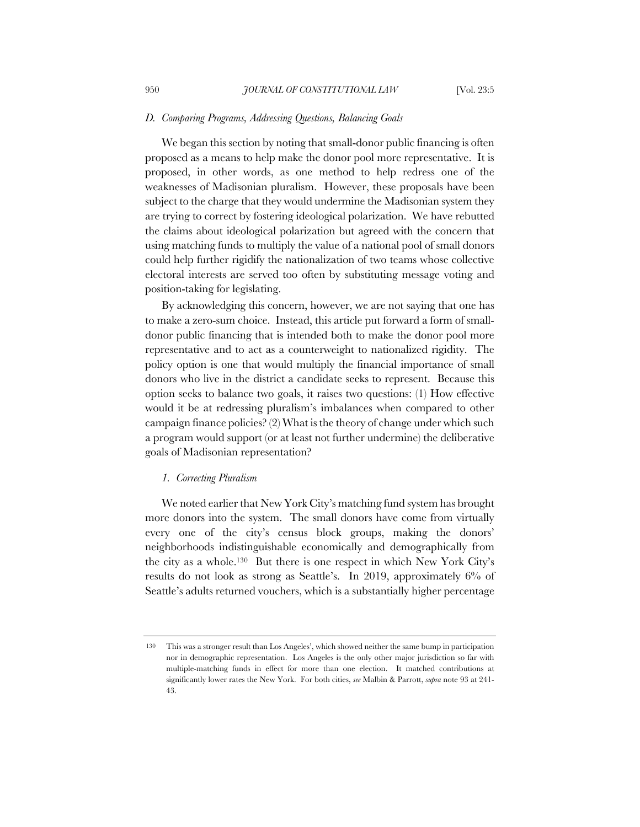#### *D. Comparing Programs, Addressing Questions, Balancing Goals*

We began this section by noting that small-donor public financing is often proposed as a means to help make the donor pool more representative. It is proposed, in other words, as one method to help redress one of the weaknesses of Madisonian pluralism. However, these proposals have been subject to the charge that they would undermine the Madisonian system they are trying to correct by fostering ideological polarization. We have rebutted the claims about ideological polarization but agreed with the concern that using matching funds to multiply the value of a national pool of small donors could help further rigidify the nationalization of two teams whose collective electoral interests are served too often by substituting message voting and position-taking for legislating.

By acknowledging this concern, however, we are not saying that one has to make a zero-sum choice. Instead, this article put forward a form of smalldonor public financing that is intended both to make the donor pool more representative and to act as a counterweight to nationalized rigidity. The policy option is one that would multiply the financial importance of small donors who live in the district a candidate seeks to represent. Because this option seeks to balance two goals, it raises two questions: (1) How effective would it be at redressing pluralism's imbalances when compared to other campaign finance policies? (2) What is the theory of change under which such a program would support (or at least not further undermine) the deliberative goals of Madisonian representation?

## *1. Correcting Pluralism*

We noted earlier that New York City's matching fund system has brought more donors into the system. The small donors have come from virtually every one of the city's census block groups, making the donors' neighborhoods indistinguishable economically and demographically from the city as a whole.130 But there is one respect in which New York City's results do not look as strong as Seattle's. In 2019, approximately 6% of Seattle's adults returned vouchers, which is a substantially higher percentage

<sup>130</sup> This was a stronger result than Los Angeles', which showed neither the same bump in participation nor in demographic representation. Los Angeles is the only other major jurisdiction so far with multiple-matching funds in effect for more than one election. It matched contributions at significantly lower rates the New York. For both cities, *see* Malbin & Parrott, *supra* note 93 at 241- 43.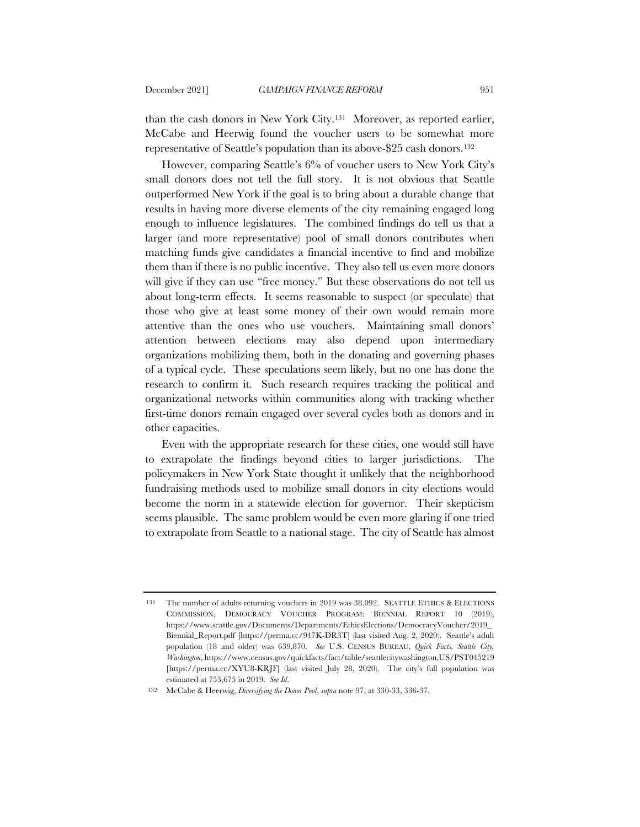than the cash donors in New York City.131 Moreover, as reported earlier, McCabe and Heerwig found the voucher users to be somewhat more representative of Seattle's population than its above-\$25 cash donors.132

However, comparing Seattle's 6% of voucher users to New York City's small donors does not tell the full story. It is not obvious that Seattle outperformed New York if the goal is to bring about a durable change that results in having more diverse elements of the city remaining engaged long enough to influence legislatures. The combined findings do tell us that a larger (and more representative) pool of small donors contributes when matching funds give candidates a financial incentive to find and mobilize them than if there is no public incentive. They also tell us even more donors will give if they can use "free money." But these observations do not tell us about long-term effects. It seems reasonable to suspect (or speculate) that those who give at least some money of their own would remain more attentive than the ones who use vouchers. Maintaining small donors' attention between elections may also depend upon intermediary organizations mobilizing them, both in the donating and governing phases of a typical cycle. These speculations seem likely, but no one has done the research to confirm it. Such research requires tracking the political and organizational networks within communities along with tracking whether first-time donors remain engaged over several cycles both as donors and in other capacities.

Even with the appropriate research for these cities, one would still have to extrapolate the findings beyond cities to larger jurisdictions. The policymakers in New York State thought it unlikely that the neighborhood fundraising methods used to mobilize small donors in city elections would become the norm in a statewide election for governor. Their skepticism seems plausible. The same problem would be even more glaring if one tried to extrapolate from Seattle to a national stage. The city of Seattle has almost

<sup>131</sup> The number of adults returning vouchers in 2019 was 38,092. SEATTLE ETHICS & ELECTIONS COMMISSION, DEMOCRACY VOUCHER PROGRAM: BIENNIAL REPORT 10 (2019), https://www.seattle.gov/Documents/Departments/EthicsElections/DemocracyVoucher/2019\_ Biennial\_Report.pdf [https://perma.cc/947K-DR3T] (last visited Aug. 2, 2020). Seattle's adult population (18 and older) was 639,870. *See* U.S. CENSUS BUREAU, *Quick Facts, Seattle City, Washington*, https://www.census.gov/quickfacts/fact/table/seattlecitywashington,US/PST045219 [https://perma.cc/XYU8-KRJF] (last visited July 28, 2020). The city's full population was estimated at 753,675 in 2019. *See Id*.

<sup>132</sup> McCabe & Heerwig, *Diversifying the Donor Pool*, *supra* note 97, at 330-33, 336-37.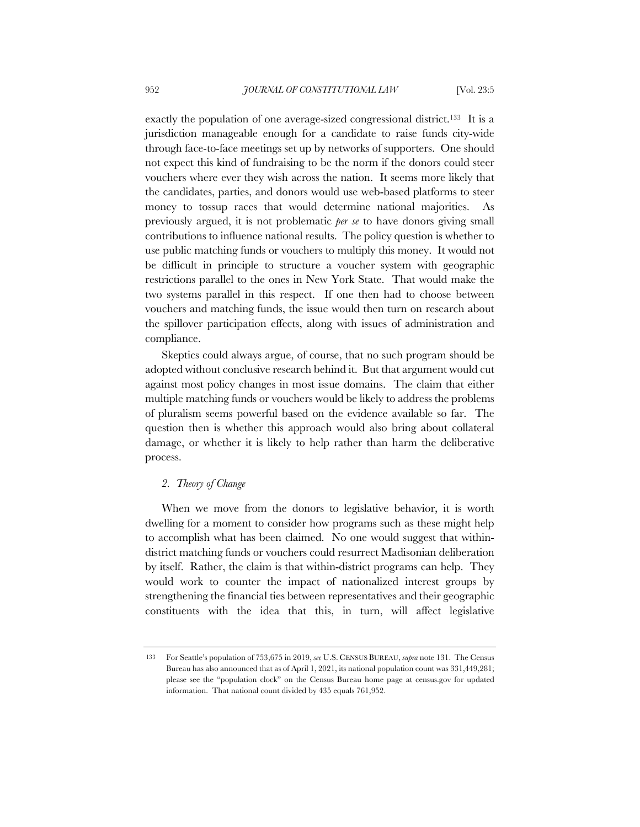exactly the population of one average-sized congressional district.133 It is a jurisdiction manageable enough for a candidate to raise funds city-wide through face-to-face meetings set up by networks of supporters. One should not expect this kind of fundraising to be the norm if the donors could steer vouchers where ever they wish across the nation. It seems more likely that the candidates, parties, and donors would use web-based platforms to steer money to tossup races that would determine national majorities. As previously argued, it is not problematic *per se* to have donors giving small contributions to influence national results. The policy question is whether to use public matching funds or vouchers to multiply this money. It would not be difficult in principle to structure a voucher system with geographic restrictions parallel to the ones in New York State. That would make the two systems parallel in this respect. If one then had to choose between vouchers and matching funds, the issue would then turn on research about the spillover participation effects, along with issues of administration and compliance.

Skeptics could always argue, of course, that no such program should be adopted without conclusive research behind it. But that argument would cut against most policy changes in most issue domains. The claim that either multiple matching funds or vouchers would be likely to address the problems of pluralism seems powerful based on the evidence available so far. The question then is whether this approach would also bring about collateral damage, or whether it is likely to help rather than harm the deliberative process.

# *2. Theory of Change*

When we move from the donors to legislative behavior, it is worth dwelling for a moment to consider how programs such as these might help to accomplish what has been claimed. No one would suggest that withindistrict matching funds or vouchers could resurrect Madisonian deliberation by itself. Rather, the claim is that within-district programs can help. They would work to counter the impact of nationalized interest groups by strengthening the financial ties between representatives and their geographic constituents with the idea that this, in turn, will affect legislative

<sup>133</sup> For Seattle's population of 753,675 in 2019, *see* U.S. CENSUS BUREAU, *supra* note 131. The Census Bureau has also announced that as of April 1, 2021, its national population count was 331,449,281; please see the "population clock" on the Census Bureau home page at census.gov for updated information. That national count divided by 435 equals 761,952.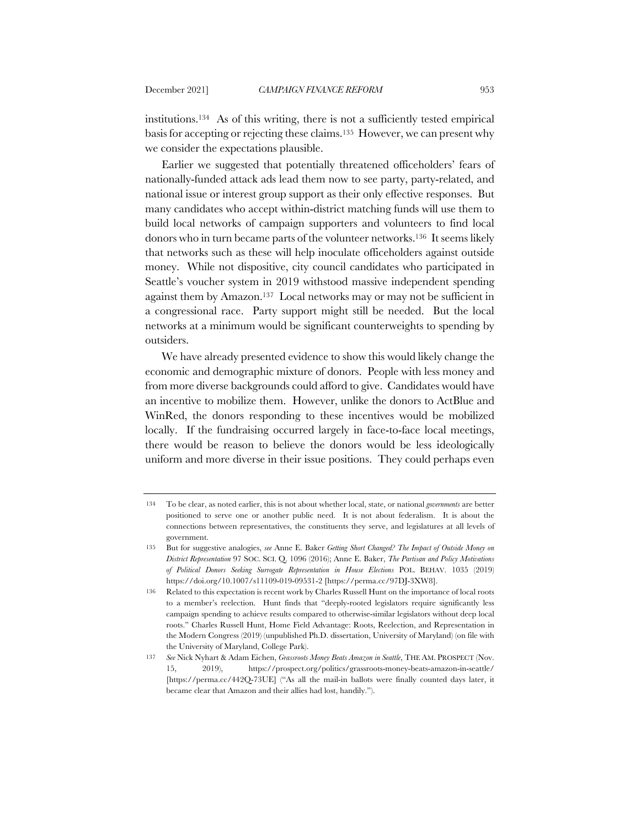institutions.134 As of this writing, there is not a sufficiently tested empirical basis for accepting or rejecting these claims.135 However, we can present why we consider the expectations plausible.

Earlier we suggested that potentially threatened officeholders' fears of nationally-funded attack ads lead them now to see party, party-related, and national issue or interest group support as their only effective responses. But many candidates who accept within-district matching funds will use them to build local networks of campaign supporters and volunteers to find local donors who in turn became parts of the volunteer networks.<sup>136</sup> It seems likely that networks such as these will help inoculate officeholders against outside money. While not dispositive, city council candidates who participated in Seattle's voucher system in 2019 withstood massive independent spending against them by Amazon.137 Local networks may or may not be sufficient in a congressional race. Party support might still be needed. But the local networks at a minimum would be significant counterweights to spending by outsiders.

We have already presented evidence to show this would likely change the economic and demographic mixture of donors. People with less money and from more diverse backgrounds could afford to give. Candidates would have an incentive to mobilize them. However, unlike the donors to ActBlue and WinRed, the donors responding to these incentives would be mobilized locally. If the fundraising occurred largely in face-to-face local meetings, there would be reason to believe the donors would be less ideologically uniform and more diverse in their issue positions. They could perhaps even

<sup>134</sup> To be clear, as noted earlier, this is not about whether local, state, or national *governments* are better positioned to serve one or another public need. It is not about federalism. It is about the connections between representatives, the constituents they serve, and legislatures at all levels of government.

<sup>135</sup> But for suggestive analogies, *see* Anne E. Baker *Getting Short Changed? The Impact of Outside Money on District Representation* 97 SOC. SCI. Q. 1096 (2016); Anne E. Baker, *The Partisan and Policy Motivations of Political Donors Seeking Surrogate Representation in House Elections* POL. BEHAV. 1035 (2019) https://doi.org/10.1007/s11109-019-09531-2 [https://perma.cc/97DJ-3XW8].

<sup>136</sup> Related to this expectation is recent work by Charles Russell Hunt on the importance of local roots to a member's reelection. Hunt finds that "deeply-rooted legislators require significantly less campaign spending to achieve results compared to otherwise-similar legislators without deep local roots." Charles Russell Hunt, Home Field Advantage: Roots, Reelection, and Representation in the Modern Congress (2019) (unpublished Ph.D. dissertation, University of Maryland) (on file with the University of Maryland, College Park).

<sup>137</sup> *See* Nick Nyhart & Adam Eichen, *Grassroots Money Beats Amazon in Seattle*, THE AM. PROSPECT (Nov. 15, 2019), https://prospect.org/politics/grassroots-money-beats-amazon-in-seattle/ [https://perma.cc/442Q-73UE] ("As all the mail-in ballots were finally counted days later, it became clear that Amazon and their allies had lost, handily.").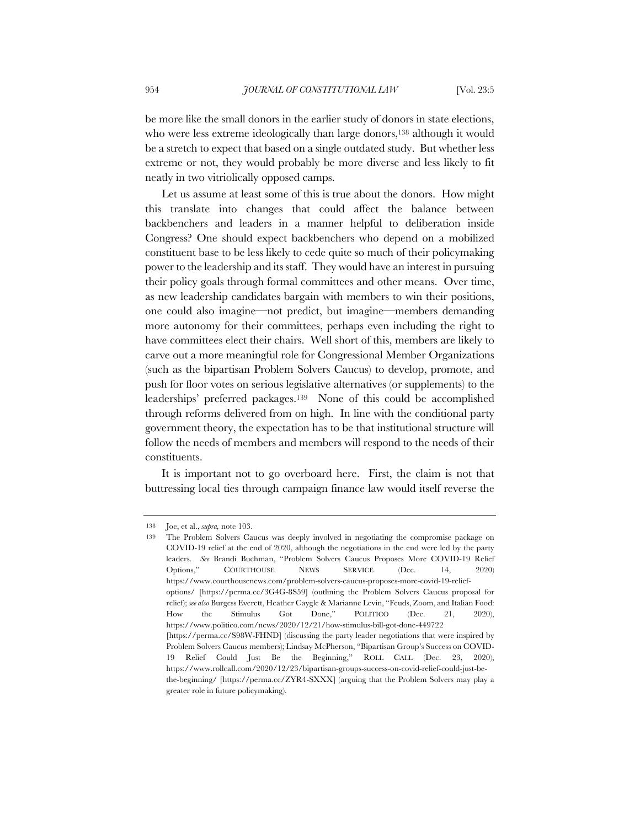be more like the small donors in the earlier study of donors in state elections, who were less extreme ideologically than large donors,<sup>138</sup> although it would be a stretch to expect that based on a single outdated study. But whether less extreme or not, they would probably be more diverse and less likely to fit neatly in two vitriolically opposed camps.

Let us assume at least some of this is true about the donors. How might this translate into changes that could affect the balance between backbenchers and leaders in a manner helpful to deliberation inside Congress? One should expect backbenchers who depend on a mobilized constituent base to be less likely to cede quite so much of their policymaking power to the leadership and its staff. They would have an interest in pursuing their policy goals through formal committees and other means. Over time, as new leadership candidates bargain with members to win their positions, one could also imagine—not predict, but imagine—members demanding more autonomy for their committees, perhaps even including the right to have committees elect their chairs. Well short of this, members are likely to carve out a more meaningful role for Congressional Member Organizations (such as the bipartisan Problem Solvers Caucus) to develop, promote, and push for floor votes on serious legislative alternatives (or supplements) to the leaderships' preferred packages.139 None of this could be accomplished through reforms delivered from on high. In line with the conditional party government theory, the expectation has to be that institutional structure will follow the needs of members and members will respond to the needs of their constituents.

It is important not to go overboard here. First, the claim is not that buttressing local ties through campaign finance law would itself reverse the

<sup>138</sup> Joe, et al., *supra,* note 103.

<sup>139</sup> The Problem Solvers Caucus was deeply involved in negotiating the compromise package on COVID-19 relief at the end of 2020, although the negotiations in the end were led by the party leaders. *See* Brandi Buchman, "Problem Solvers Caucus Proposes More COVID-19 Relief Options," COURTHOUSE NEWS SERVICE (Dec. 14, 2020) https://www.courthousenews.com/problem-solvers-caucus-proposes-more-covid-19-reliefoptions/ [https://perma.cc/3G4G-8S59] (outlining the Problem Solvers Caucus proposal for relief); *see also* Burgess Everett, Heather Caygle & Marianne Levin, "Feuds, Zoom, and Italian Food: How the Stimulus Got Done," POLITICO (Dec. 21, 2020), https://www.politico.com/news/2020/12/21/how-stimulus-bill-got-done-449722 [https://perma.cc/S98W-FHND] (discussing the party leader negotiations that were inspired by Problem Solvers Caucus members); Lindsay McPherson, "Bipartisan Group's Success on COVID-19 Relief Could Just Be the Beginning," ROLL CALL (Dec. 23, 2020), https://www.rollcall.com/2020/12/23/bipartisan-groups-success-on-covid-relief-could-just-bethe-beginning/ [https://perma.cc/ZYR4-SXXX] (arguing that the Problem Solvers may play a greater role in future policymaking).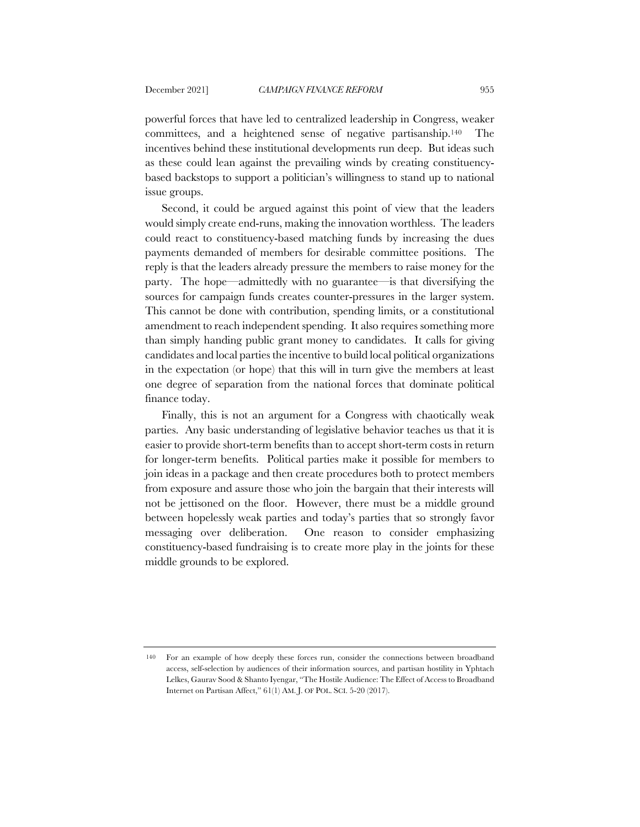powerful forces that have led to centralized leadership in Congress, weaker committees, and a heightened sense of negative partisanship.140 The incentives behind these institutional developments run deep. But ideas such as these could lean against the prevailing winds by creating constituencybased backstops to support a politician's willingness to stand up to national issue groups.

Second, it could be argued against this point of view that the leaders would simply create end-runs, making the innovation worthless. The leaders could react to constituency-based matching funds by increasing the dues payments demanded of members for desirable committee positions. The reply is that the leaders already pressure the members to raise money for the party. The hope—admittedly with no guarantee—is that diversifying the sources for campaign funds creates counter-pressures in the larger system. This cannot be done with contribution, spending limits, or a constitutional amendment to reach independent spending. It also requires something more than simply handing public grant money to candidates. It calls for giving candidates and local parties the incentive to build local political organizations in the expectation (or hope) that this will in turn give the members at least one degree of separation from the national forces that dominate political finance today.

Finally, this is not an argument for a Congress with chaotically weak parties. Any basic understanding of legislative behavior teaches us that it is easier to provide short-term benefits than to accept short-term costs in return for longer-term benefits. Political parties make it possible for members to join ideas in a package and then create procedures both to protect members from exposure and assure those who join the bargain that their interests will not be jettisoned on the floor. However, there must be a middle ground between hopelessly weak parties and today's parties that so strongly favor messaging over deliberation. One reason to consider emphasizing constituency-based fundraising is to create more play in the joints for these middle grounds to be explored.

<sup>140</sup> For an example of how deeply these forces run, consider the connections between broadband access, self-selection by audiences of their information sources, and partisan hostility in Yphtach Lelkes, Gaurav Sood & Shanto Iyengar, "The Hostile Audience: The Effect of Access to Broadband Internet on Partisan Affect," 61(1) AM. J. OF POL. SCI. 5-20 (2017).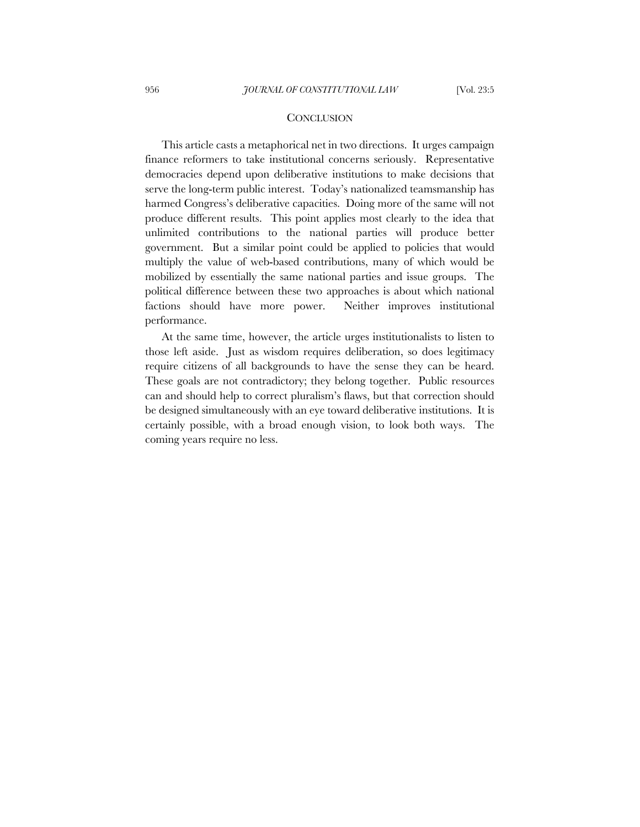#### **CONCLUSION**

This article casts a metaphorical net in two directions. It urges campaign finance reformers to take institutional concerns seriously. Representative democracies depend upon deliberative institutions to make decisions that serve the long-term public interest. Today's nationalized teamsmanship has harmed Congress's deliberative capacities. Doing more of the same will not produce different results. This point applies most clearly to the idea that unlimited contributions to the national parties will produce better government. But a similar point could be applied to policies that would multiply the value of web-based contributions, many of which would be mobilized by essentially the same national parties and issue groups. The political difference between these two approaches is about which national factions should have more power. Neither improves institutional performance.

At the same time, however, the article urges institutionalists to listen to those left aside. Just as wisdom requires deliberation, so does legitimacy require citizens of all backgrounds to have the sense they can be heard. These goals are not contradictory; they belong together. Public resources can and should help to correct pluralism's flaws, but that correction should be designed simultaneously with an eye toward deliberative institutions. It is certainly possible, with a broad enough vision, to look both ways. The coming years require no less.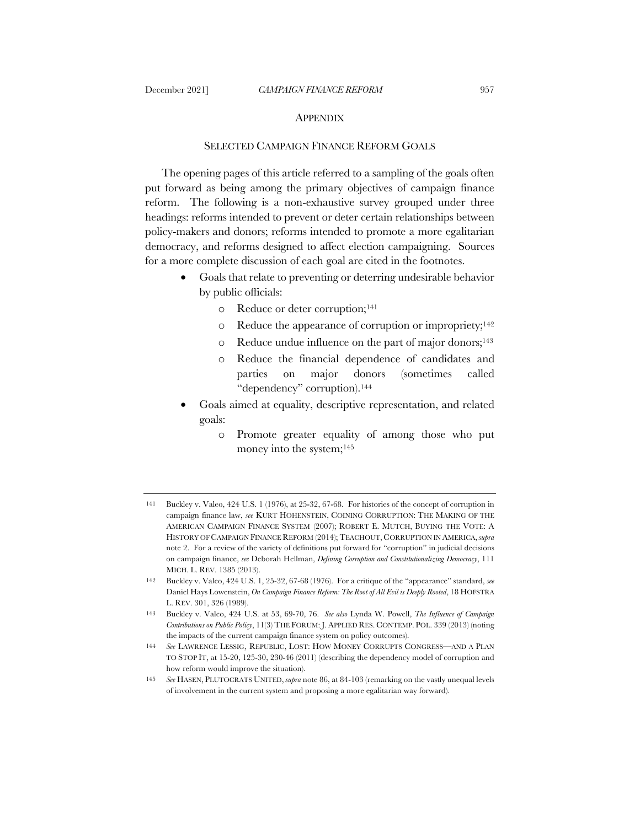#### APPENDIX

# SELECTED CAMPAIGN FINANCE REFORM GOALS

The opening pages of this article referred to a sampling of the goals often put forward as being among the primary objectives of campaign finance reform. The following is a non-exhaustive survey grouped under three headings: reforms intended to prevent or deter certain relationships between policy-makers and donors; reforms intended to promote a more egalitarian democracy, and reforms designed to affect election campaigning. Sources for a more complete discussion of each goal are cited in the footnotes.

- Goals that relate to preventing or deterring undesirable behavior by public officials:
	- o Reduce or deter corruption;141
	- o Reduce the appearance of corruption or impropriety;142
	- o Reduce undue influence on the part of major donors;143
	- o Reduce the financial dependence of candidates and parties on major donors (sometimes called "dependency" corruption).144
- Goals aimed at equality, descriptive representation, and related goals:
	- o Promote greater equality of among those who put money into the system;145

142 Buckley v. Valeo, 424 U.S. 1, 25-32, 67-68 (1976). For a critique of the "appearance" standard, *see*  Daniel Hays Lowenstein, *On Campaign Finance Reform: The Root of All Evil is Deeply Rooted*, 18 HOFSTRA L. REV. 301, 326 (1989).

<sup>141</sup> Buckley v. Valeo, 424 U.S. 1 (1976), at 25-32, 67-68. For histories of the concept of corruption in campaign finance law, *see* KURT HOHENSTEIN, COINING CORRUPTION: THE MAKING OF THE AMERICAN CAMPAIGN FINANCE SYSTEM (2007); ROBERT E. MUTCH, BUYING THE VOTE: A HISTORY OF CAMPAIGN FINANCE REFORM (2014); TEACHOUT, CORRUPTION IN AMERICA, *supra*  note 2. For a review of the variety of definitions put forward for "corruption" in judicial decisions on campaign finance, *see* Deborah Hellman, *Defining Corruption and Constitutionalizing Democracy*, 111 MICH. L. REV. 1385 (2013).

<sup>143</sup> Buckley v. Valeo, 424 U.S. at 53, 69-70, 76. *See also* Lynda W. Powell, *The Influence of Campaign Contributions on Public Policy*, 11(3) THE FORUM: J. APPLIED RES. CONTEMP. POL. 339 (2013) (noting the impacts of the current campaign finance system on policy outcomes).

<sup>144</sup> *See* LAWRENCE LESSIG, REPUBLIC, LOST: HOW MONEY CORRUPTS CONGRESS—AND A PLAN TO STOP IT, at 15-20, 125-30, 230-46 (2011) (describing the dependency model of corruption and how reform would improve the situation).

<sup>145</sup> *See* HASEN, PLUTOCRATS UNITED, *supra* note 86, at 84-103 (remarking on the vastly unequal levels of involvement in the current system and proposing a more egalitarian way forward).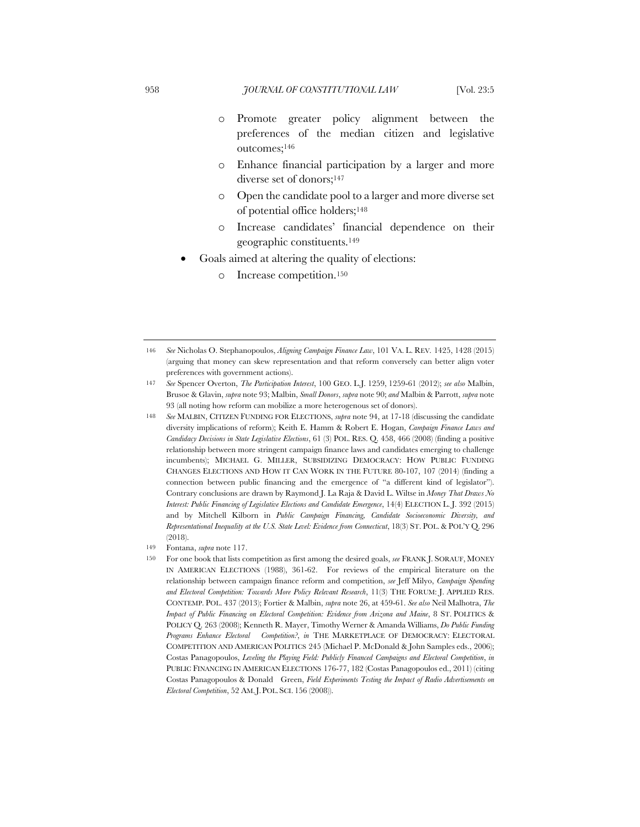- o Promote greater policy alignment between the preferences of the median citizen and legislative outcomes;146
- o Enhance financial participation by a larger and more diverse set of donors;147
- o Open the candidate pool to a larger and more diverse set of potential office holders;148
- o Increase candidates' financial dependence on their geographic constituents.149
- Goals aimed at altering the quality of elections:
	- o Increase competition.150

<sup>146</sup> *See* Nicholas O. Stephanopoulos, *Aligning Campaign Finance Law*, 101 VA. L. REV*.* 1425, 1428 (2015) (arguing that money can skew representation and that reform conversely can better align voter preferences with government actions).

<sup>147</sup> *See* Spencer Overton, *The Participation Interest*, 100 GEO. L.J. 1259, 1259-61 (2012); *see also* Malbin, Brusoe & Glavin, *supra* note 93; Malbin, *Small Donors*, *supra* note 90; *and* Malbin & Parrott, *supra* note 93 (all noting how reform can mobilize a more heterogenous set of donors).

<sup>148</sup> *See* MALBIN, CITIZEN FUNDING FOR ELECTIONS, *supra* note 94, at 17-18 (discussing the candidate diversity implications of reform); Keith E. Hamm & Robert E. Hogan, *Campaign Finance Laws and Candidacy Decisions in State Legislative Elections*, 61 (3) POL. RES. Q. 458, 466 (2008) (finding a positive relationship between more stringent campaign finance laws and candidates emerging to challenge incumbents); MICHAEL G. MILLER, SUBSIDIZING DEMOCRACY: HOW PUBLIC FUNDING CHANGES ELECTIONS AND HOW IT CAN WORK IN THE FUTURE 80-107, 107 (2014) (finding a connection between public financing and the emergence of "a different kind of legislator"). Contrary conclusions are drawn by Raymond J. La Raja & David L. Wiltse in *Money That Draws No Interest: Public Financing of Legislative Elections and Candidate Emergence*, 14(4) ELECTION L. J. 392 (2015) and by Mitchell Kilborn in *Public Campaign Financing, Candidate Socioeconomic Diversity, and Representational Inequality at the U.S. State Level: Evidence from Connecticut*, 18(3) ST. POL. & POL'Y Q. 296 (2018).

<sup>149</sup> Fontana, *supra* note 117.

<sup>150</sup> For one book that lists competition as first among the desired goals, *see* FRANK J. SORAUF, MONEY IN AMERICAN ELECTIONS (1988), 361-62. For reviews of the empirical literature on the relationship between campaign finance reform and competition, *see* Jeff Milyo, *Campaign Spending and Electoral Competition: Towards More Policy Relevant Research*, 11(3) THE FORUM: J. APPLIED RES. CONTEMP. POL. 437 (2013); Fortier & Malbin, *supra* note 26, at 459-61. *See also* Neil Malhotra, *The Impact of Public Financing on Electoral Competition: Evidence from Arizona and Maine*, 8 ST. POLITICS & POLICY Q. 263 (2008); Kenneth R. Mayer, Timothy Werner & Amanda Williams, *Do Public Funding Programs Enhance Electoral Competition?*, *in* THE MARKETPLACE OF DEMOCRACY: ELECTORAL COMPETITION AND AMERICAN POLITICS 245 (Michael P. McDonald & John Samples eds., 2006); Costas Panagopoulos, *Leveling the Playing Field: Publicly Financed Campaigns and Electoral Competition*, *in* PUBLIC FINANCING IN AMERICAN ELECTIONS 176-77, 182 (Costas Panagopoulos ed., 2011) (citing Costas Panagopoulos & Donald Green, *Field Experiments Testing the Impact of Radio Advertisements on Electoral Competition*, 52 AM.J.POL.SCI. 156 (2008)).